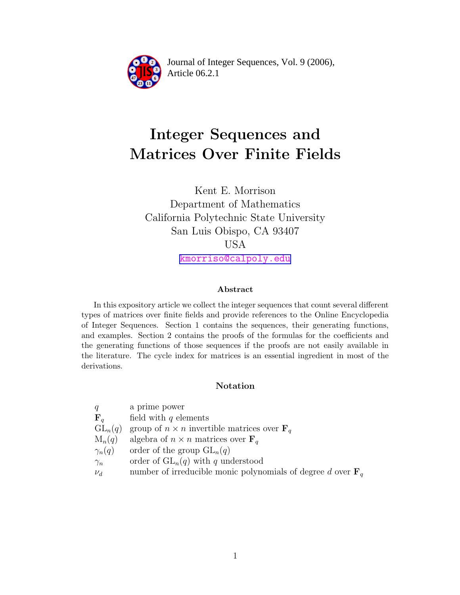

Article 06.2.1 **<sup>2</sup>** Journal of Integer Sequences, Vol. 9 (2006),

# Integer Sequences and Matrices Over Finite Fields

Kent E. Morrison Department of Mathematics California Polytechnic State University San Luis Obispo, CA 93407 USA [kmorriso@calpoly.edu](mailto:kmorriso@calpoly.edu)

#### Abstract

In this expository article we collect the integer sequences that count several different types of matrices over finite fields and provide references to the Online Encyclopedia of Integer Sequences. Section 1 contains the sequences, their generating functions, and examples. Section 2 contains the proofs of the formulas for the coefficients and the generating functions of those sequences if the proofs are not easily available in the literature. The cycle index for matrices is an essential ingredient in most of the derivations.

#### Notation

| q              | a prime power                                                           |
|----------------|-------------------------------------------------------------------------|
| $\mathbf{F}_a$ | field with $q$ elements                                                 |
| $GL_n(q)$      | group of $n \times n$ invertible matrices over $\mathbf{F}_a$           |
| $M_n(q)$       | algebra of $n \times n$ matrices over $\mathbf{F}_q$                    |
| $\gamma_n(q)$  | order of the group $GL_n(q)$                                            |
| $\gamma_n$     | order of $GL_n(q)$ with q understood                                    |
| $\nu_d$        | number of irreducible monic polynomials of degree d over $\mathbf{F}_q$ |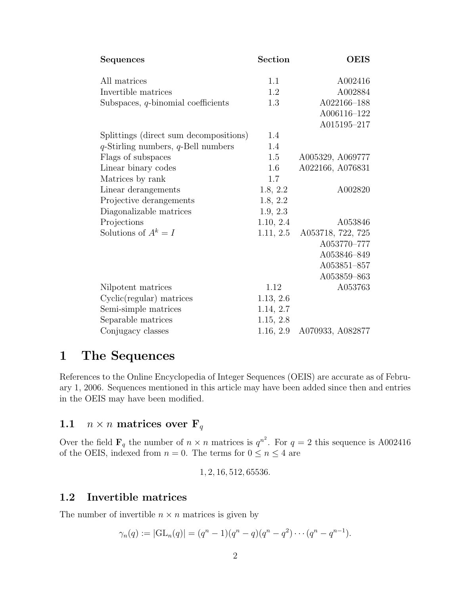| Sequences                                | Section   | <b>OEIS</b>       |
|------------------------------------------|-----------|-------------------|
| All matrices                             | 1.1       | A002416           |
| Invertible matrices                      | 1.2       | A002884           |
| Subspaces, $q$ -binomial coefficients    | 1.3       | A022166-188       |
|                                          |           | A006116-122       |
|                                          |           | A015195-217       |
| Splittings (direct sum decompositions)   | 1.4       |                   |
| $q$ -Stirling numbers, $q$ -Bell numbers | 1.4       |                   |
| Flags of subspaces                       | 1.5       | A005329, A069777  |
| Linear binary codes                      | 1.6       | A022166, A076831  |
| Matrices by rank                         | 1.7       |                   |
| Linear derangements                      | 1.8, 2.2  | A002820           |
| Projective derangements                  | 1.8, 2.2  |                   |
| Diagonalizable matrices                  | 1.9, 2.3  |                   |
| Projections                              | 1.10, 2.4 | A053846           |
| Solutions of $A^k = I$                   | 1.11, 2.5 | A053718, 722, 725 |
|                                          |           | A053770-777       |
|                                          |           | A053846-849       |
|                                          |           | A053851-857       |
|                                          |           | A053859-863       |
| Nilpotent matrices                       | 1.12      | A053763           |
| $Cyclic(regular)$ matrices               | 1.13, 2.6 |                   |
| Semi-simple matrices                     | 1.14, 2.7 |                   |
| Separable matrices                       | 1.15, 2.8 |                   |
| Conjugacy classes                        | 1.16, 2.9 | A070933, A082877  |

# 1 The Sequences

References to the Online Encyclopedia of Integer Sequences (OEIS) are accurate as of February 1, 2006. Sequences mentioned in this article may have been added since then and entries in the OEIS may have been modified.

# 1.1  $n \times n$  matrices over  $\mathbf{F}_q$

Over the field  $\mathbf{F}_q$  the number of  $n \times n$  matrices is  $q^{n^2}$ . For  $q = 2$  this sequence is A002416 of the OEIS, indexed from  $n = 0$ . The terms for  $0 \le n \le 4$  are

1, 2, 16, 512, 65536.

### 1.2 Invertible matrices

The number of invertible  $n \times n$  matrices is given by

$$
\gamma_n(q) := |\mathrm{GL}_n(q)| = (q^n - 1)(q^n - q)(q^n - q^2) \cdots (q^n - q^{n-1}).
$$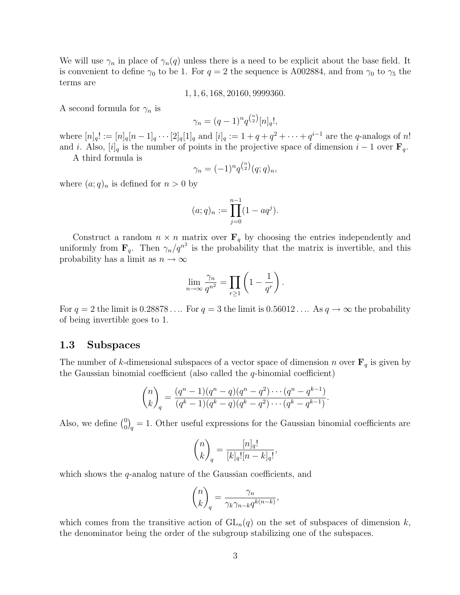We will use  $\gamma_n$  in place of  $\gamma_n(q)$  unless there is a need to be explicit about the base field. It is convenient to define  $\gamma_0$  to be 1. For  $q = 2$  the sequence is A002884, and from  $\gamma_0$  to  $\gamma_5$  the terms are

1, 1, 6, 168, 20160, 9999360.

A second formula for  $\gamma_n$  is

$$
\gamma_n = (q-1)^n q^{\binom{n}{2}} [n]_q!,
$$

where  $[n]_q! := [n]_q [n-1]_q \cdots [2]_q [1]_q$  and  $[i]_q := 1 + q + q^2 + \cdots + q^{i-1}$  are the q-analogs of n! and i. Also,  $[i]_q$  is the number of points in the projective space of dimension  $i-1$  over  $\mathbf{F}_q$ .

A third formula is

$$
\gamma_n = (-1)^n q^{\binom{n}{2}} (q;q)_n,
$$

where  $(a;q)_n$  is defined for  $n > 0$  by

$$
(a;q)_n := \prod_{j=0}^{n-1} (1 - aq^j).
$$

Construct a random  $n \times n$  matrix over  $\mathbf{F}_q$  by choosing the entries independently and uniformly from  $\mathbf{F}_q$ . Then  $\gamma_n/q^{n^2}$  is the probability that the matrix is invertible, and this probability has a limit as  $n \to \infty$ 

$$
\lim_{n \to \infty} \frac{\gamma_n}{q^{n^2}} = \prod_{r \ge 1} \left( 1 - \frac{1}{q^r} \right).
$$

For  $q = 2$  the limit is 0.28878 . . . For  $q = 3$  the limit is 0.56012 . . . As  $q \to \infty$  the probability of being invertible goes to 1.

#### 1.3 Subspaces

The number of k-dimensional subspaces of a vector space of dimension n over  $\mathbf{F}_q$  is given by the Gaussian binomial coefficient (also called the  $q$ -binomial coefficient)

$$
\binom{n}{k}_q = \frac{(q^n - 1)(q^n - q)(q^n - q^2) \cdots (q^n - q^{k-1})}{(q^k - 1)(q^k - q)(q^k - q^2) \cdots (q^k - q^{k-1})}.
$$

Also, we define  $\binom{0}{0}$  $\binom{0}{0}_q = 1$ . Other useful expressions for the Gaussian binomial coefficients are

$$
\binom{n}{k}_q = \frac{[n]_q!}{[k]_q! [n-k]_q!},
$$

which shows the q-analog nature of the Gaussian coefficients, and

$$
\binom{n}{k}_q = \frac{\gamma_n}{\gamma_k \gamma_{n-k} q^{k(n-k)}},
$$

which comes from the transitive action of  $GL_n(q)$  on the set of subspaces of dimension k, the denominator being the order of the subgroup stabilizing one of the subspaces.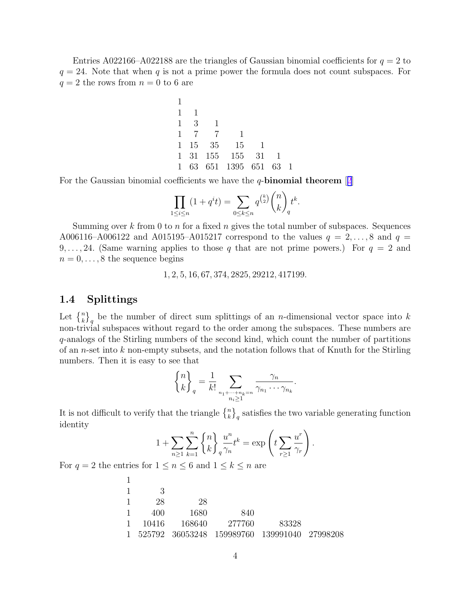Entries A022166–A022188 are the triangles of Gaussian binomial coefficients for  $q = 2$  to  $q = 24$ . Note that when q is not a prime power the formula does not count subspaces. For  $q = 2$  the rows from  $n = 0$  to 6 are

1 1 1 1 3 1 1 7 7 1 1 15 35 15 1 1 31 155 155 31 1 1 63 651 1395 651 63 1

For the Gaussian binomial coefficients we have the  $q$ -binomial theorem  $[2]$  $[2]$  $[2]$ 

$$
\prod_{1 \le i \le n} (1 + q^i t) = \sum_{0 \le k \le n} q^{\binom{k}{2}} \binom{n}{k}_q t^k.
$$

Summing over k from 0 to n for a fixed n gives the total number of subspaces. Sequences A006116–A006122 and A015195–A015217 correspond to the values  $q = 2, ..., 8$  and  $q =$ 9,..., 24. (Same warning applies to those q that are not prime powers.) For  $q = 2$  and  $n = 0, \ldots, 8$  the sequence begins

1, 2, 5, 16, 67, 374, 2825, 29212, 417199.

### 1.4 Splittings

Let  $\{k\}$ <sub>q</sub> be the number of direct sum splittings of an *n*-dimensional vector space into k non-trivial subspaces without regard to the order among the subspaces. These numbers are q-analogs of the Stirling numbers of the second kind, which count the number of partitions of an *n*-set into  $k$  non-empty subsets, and the notation follows that of Knuth for the Stirling numbers. Then it is easy to see that

$$
\begin{Bmatrix} n \\ k \end{Bmatrix}_q = \frac{1}{k!} \sum_{\substack{n_1 + \dots + n_k = n \\ n_i \ge 1}} \frac{\gamma_n}{\gamma_{n_1} \cdots \gamma_{n_k}}.
$$

It is not difficult to verify that the triangle  $\binom{n}{k}_q$  satisfies the two variable generating function identity

$$
1 + \sum_{n\geq 1} \sum_{k=1}^n {n \choose k} \frac{u^n}{\gamma_n} t^k = \exp\left(t \sum_{r\geq 1} \frac{u^r}{\gamma_r}\right).
$$

For  $q = 2$  the entries for  $1 \leq n \leq 6$  and  $1 \leq k \leq n$  are

1

| - 3<br>28<br>28<br>1680<br>840<br>400<br>277760<br>1 10416 168640<br>-83328<br>1 525792 36053248 159989760 139991040 27998208 |  |  |  |
|-------------------------------------------------------------------------------------------------------------------------------|--|--|--|
|                                                                                                                               |  |  |  |
|                                                                                                                               |  |  |  |
|                                                                                                                               |  |  |  |
|                                                                                                                               |  |  |  |
|                                                                                                                               |  |  |  |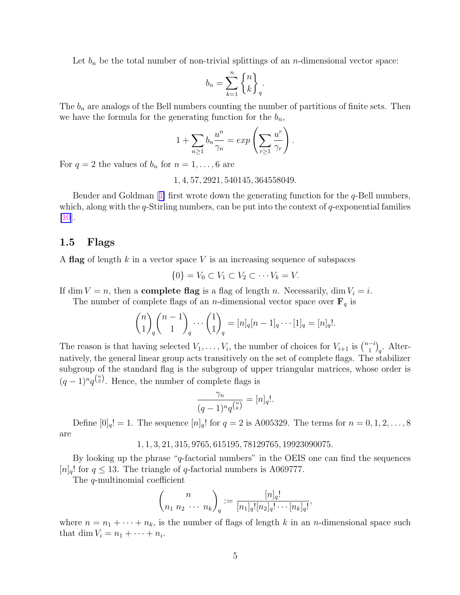Let  $b_n$  be the total number of non-trivial splittings of an *n*-dimensional vector space:

$$
b_n = \sum_{k=1}^n \begin{Bmatrix} n \\ k \end{Bmatrix}_q.
$$

The  $b_n$  are analogs of the Bell numbers counting the number of partitions of finite sets. Then we have the formula for the generating function for the  $b_n$ ,

$$
1 + \sum_{n\geq 1} b_n \frac{u^n}{\gamma_n} = \exp\left(\sum_{r\geq 1} \frac{u^r}{\gamma_r}\right).
$$

For  $q = 2$  the values of  $b_n$  for  $n = 1, \ldots, 6$  are

1, 4, 57, 2921, 540145, 364558049.

Bender and Goldman  $[1]$  $[1]$  first wrote down the generating function for the q-Bell numbers, which, along with the  $q$ -Stirling numbers, can be put into the context of  $q$ -exponential families  $|10|$ .

#### 1.5 Flags

A flag of length  $k$  in a vector space  $V$  is an increasing sequence of subspaces

$$
\{0\} = V_0 \subset V_1 \subset V_2 \subset \cdots V_k = V.
$$

If dim  $V = n$ , then a **complete flag** is a flag of length n. Necessarily, dim  $V_i = i$ .

The number of complete flags of an *n*-dimensional vector space over  $\mathbf{F}_q$  is

$$
\binom{n}{1}_q\binom{n-1}{1}_q\cdots\binom{1}{1}_q=[n]_q[n-1]_q\cdots[1]_q=[n]_q!.
$$

The reason is that having selected  $V_1, \ldots, V_i$ , the number of choices for  $V_{i+1}$  is  $\binom{n-i}{1}$  $\binom{-i}{1}_q$ . Alternatively, the general linear group acts transitively on the set of complete flags. The stabilizer subgroup of the standard flag is the subgroup of upper triangular matrices, whose order is  $(q-1)^n q^{n \choose 2}$ . Hence, the number of complete flags is

$$
\frac{\gamma_n}{(q-1)^n q^{\binom{n}{k}}} = [n]_q!.
$$

Define  $[0]_q! = 1$ . The sequence  $[n]_q!$  for  $q = 2$  is A005329. The terms for  $n = 0, 1, 2, ..., 8$ are

#### 1, 1, 3, 21, 315, 9765, 615195, 78129765, 19923090075.

By looking up the phrase "q-factorial numbers" in the OEIS one can find the sequences  $[n]_q!$  for  $q \leq 13$ . The triangle of q-factorial numbers is A069777.

The q-multinomial coefficient

$$
\binom{n}{n_1 \ n_2 \ \cdots \ n_k}_q := \frac{[n]_q!}{[n_1]_q! [n_2]_q! \cdots [n_k]_q!},
$$

where  $n = n_1 + \cdots + n_k$ , is the number of flags of length k in an n-dimensional space such that dim  $V_i = n_1 + \cdots + n_i$ .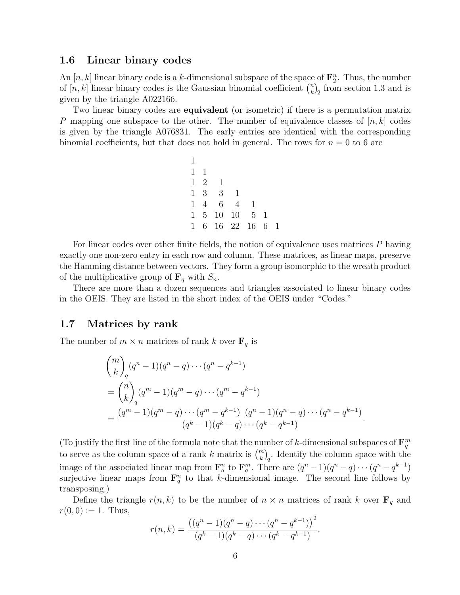#### 1.6 Linear binary codes

An [n, k] linear binary code is a k-dimensional subspace of the space of  $\mathbf{F}_2^n$ . Thus, the number of [n, k] linear binary codes is the Gaussian binomial coefficient  $\binom{n}{k}$  ${k \choose k}_2$  from section 1.3 and is given by the triangle A022166.

Two linear binary codes are **equivalent** (or isometric) if there is a permutation matrix P mapping one subspace to the other. The number of equivalence classes of  $[n, k]$  codes is given by the triangle A076831. The early entries are identical with the corresponding binomial coefficients, but that does not hold in general. The rows for  $n = 0$  to 6 are

1 1 1 1 2 1 1 3 3 1 1 4 6 4 1 1 5 10 10 5 1 1 6 16 22 16 6 1

For linear codes over other finite fields, the notion of equivalence uses matrices P having exactly one non-zero entry in each row and column. These matrices, as linear maps, preserve the Hamming distance between vectors. They form a group isomorphic to the wreath product of the multiplicative group of  $\mathbf{F}_q$  with  $S_n$ .

There are more than a dozen sequences and triangles associated to linear binary codes in the OEIS. They are listed in the short index of the OEIS under "Codes."

#### 1.7 Matrices by rank

The number of  $m \times n$  matrices of rank k over  $\mathbf{F}_q$  is

$$
\binom{m}{k}_q (q^n - 1)(q^n - q) \cdots (q^n - q^{k-1})
$$
\n
$$
= \binom{n}{k}_q (q^m - 1)(q^m - q) \cdots (q^m - q^{k-1})
$$
\n
$$
= \frac{(q^m - 1)(q^m - q) \cdots (q^m - q^{k-1}) (q^n - q) \cdots (q^n - q^{k-1})}{(q^k - 1)(q^k - q) \cdots (q^k - q^{k-1})}
$$

.

(To justify the first line of the formula note that the number of k-dimensional subspaces of  $\mathbf{F}_q^m$ to serve as the column space of a rank k matrix is  $\binom{m}{k}_q$ . Identify the column space with the image of the associated linear map from  $\mathbf{F}_q^n$  to  $\mathbf{F}_q^m$ . There are  $(q^n-1)(q^n-q)\cdots(q^n-q^{k-1})$ surjective linear maps from  $\mathbf{F}_q^n$  to that k-dimensional image. The second line follows by transposing.)

Define the triangle  $r(n, k)$  to be the number of  $n \times n$  matrices of rank k over  $\mathbf{F}_q$  and  $r(0, 0) := 1$ . Thus,

$$
r(n,k) = \frac{((q^n - 1)(q^n - q) \cdots (q^n - q^{k-1}))^2}{(q^k - 1)(q^k - q) \cdots (q^k - q^{k-1})}.
$$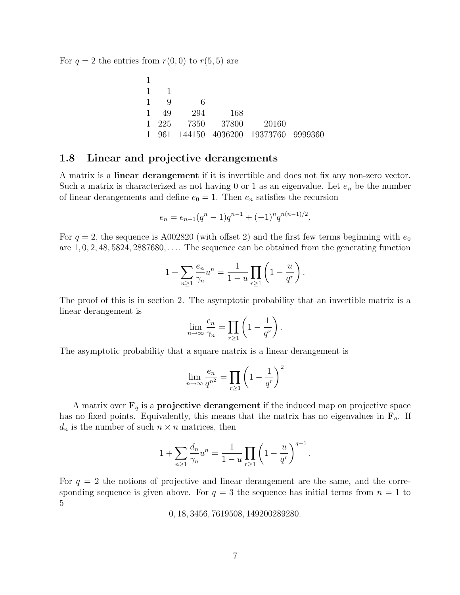For  $q = 2$  the entries from  $r(0, 0)$  to  $r(5, 5)$  are

| 1 | ı.    |        |         |                                     |  |
|---|-------|--------|---------|-------------------------------------|--|
|   | Q     | 6      |         |                                     |  |
| 1 | 49    | 294    | 168     |                                     |  |
|   | 1 225 | - 7350 | - 37800 | 20160                               |  |
| 1 |       |        |         | 961 144150 4036200 19373760 9999360 |  |

#### 1.8 Linear and projective derangements

A matrix is a linear derangement if it is invertible and does not fix any non-zero vector. Such a matrix is characterized as not having 0 or 1 as an eigenvalue. Let  $e_n$  be the number of linear derangements and define  $e_0 = 1$ . Then  $e_n$  satisfies the recursion

$$
e_n = e_{n-1}(q^n - 1)q^{n-1} + (-1)^n q^{n(n-1)/2}.
$$

For  $q = 2$ , the sequence is A002820 (with offset 2) and the first few terms beginning with  $e_0$ are  $1, 0, 2, 48, 5824, 2887680, \ldots$  The sequence can be obtained from the generating function

$$
1 + \sum_{n \ge 1} \frac{e_n}{\gamma_n} u^n = \frac{1}{1 - u} \prod_{r \ge 1} \left( 1 - \frac{u}{q^r} \right).
$$

The proof of this is in section 2. The asymptotic probability that an invertible matrix is a linear derangement is

$$
\lim_{n \to \infty} \frac{e_n}{\gamma_n} = \prod_{r \ge 1} \left( 1 - \frac{1}{q^r} \right).
$$

The asymptotic probability that a square matrix is a linear derangement is

$$
\lim_{n \to \infty} \frac{e_n}{q^{n^2}} = \prod_{r \ge 1} \left( 1 - \frac{1}{q^r} \right)^2
$$

A matrix over  $\mathbf{F}_q$  is a **projective derangement** if the induced map on projective space has no fixed points. Equivalently, this means that the matrix has no eigenvalues in  $\mathbf{F}_q$ . If  $d_n$  is the number of such  $n \times n$  matrices, then

$$
1 + \sum_{n \ge 1} \frac{d_n}{\gamma_n} u^n = \frac{1}{1 - u} \prod_{r \ge 1} \left( 1 - \frac{u}{q^r} \right)^{q - 1}.
$$

For  $q = 2$  the notions of projective and linear derangement are the same, and the corresponding sequence is given above. For  $q = 3$  the sequence has initial terms from  $n = 1$  to 5

0, 18, 3456, 7619508, 149200289280.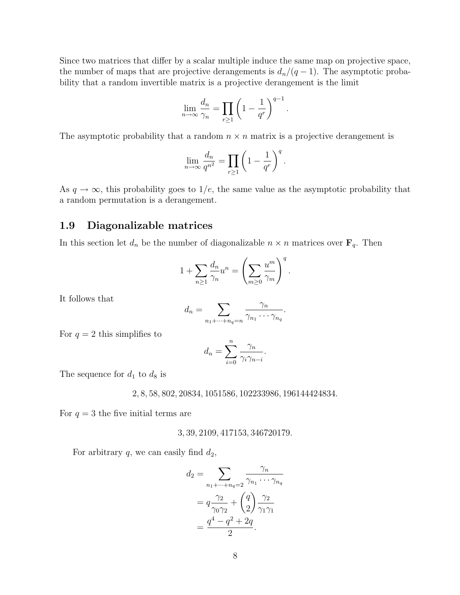Since two matrices that differ by a scalar multiple induce the same map on projective space, the number of maps that are projective derangements is  $d_n/(q-1)$ . The asymptotic probability that a random invertible matrix is a projective derangement is the limit

$$
\lim_{n \to \infty} \frac{d_n}{\gamma_n} = \prod_{r \ge 1} \left( 1 - \frac{1}{q^r} \right)^{q-1}.
$$

The asymptotic probability that a random  $n \times n$  matrix is a projective derangement is

$$
\lim_{n \to \infty} \frac{d_n}{q^{n^2}} = \prod_{r \ge 1} \left( 1 - \frac{1}{q^r} \right)^q.
$$

As  $q \to \infty$ , this probability goes to 1/e, the same value as the asymptotic probability that a random permutation is a derangement.

#### 1.9 Diagonalizable matrices

In this section let  $d_n$  be the number of diagonalizable  $n \times n$  matrices over  $\mathbf{F}_q$ . Then

$$
1 + \sum_{n \ge 1} \frac{d_n}{\gamma_n} u^n = \left( \sum_{m \ge 0} \frac{u^m}{\gamma_m} \right)^q.
$$

It follows that

$$
d_n = \sum_{n_1 + \dots + n_q = n} \frac{\gamma_n}{\gamma_{n_1} \cdots \gamma_{n_q}}.
$$

For  $q = 2$  this simplifies to

$$
d_n = \sum_{i=0}^n \frac{\gamma_n}{\gamma_i \gamma_{n-i}}.
$$

The sequence for  $d_1$  to  $d_8$  is

2, 8, 58, 802, 20834, 1051586, 102233986, 196144424834.

For  $q = 3$  the five initial terms are

3, 39, 2109, 417153, 346720179.

For arbitrary  $q$ , we can easily find  $d_2$ ,

$$
d_2 = \sum_{n_1 + \dots + n_q = 2} \frac{\gamma_n}{\gamma_{n_1} \cdots \gamma_{n_q}}
$$
  
=  $q \frac{\gamma_2}{\gamma_0 \gamma_2} + {q \choose 2} \frac{\gamma_2}{\gamma_1 \gamma_1}$   
=  $\frac{q^4 - q^2 + 2q}{2}$ .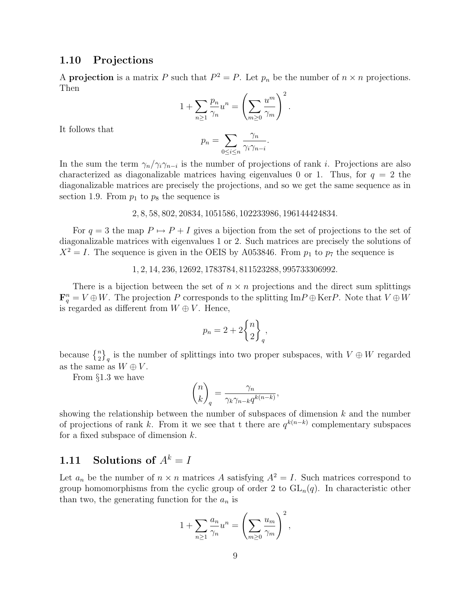#### 1.10 Projections

A **projection** is a matrix P such that  $P^2 = P$ . Let  $p_n$  be the number of  $n \times n$  projections. Then

$$
1 + \sum_{n\geq 1} \frac{p_n}{\gamma_n} u^n = \left(\sum_{m\geq 0} \frac{u^m}{\gamma_m}\right)^2.
$$

It follows that

$$
p_n = \sum_{0 \le i \le n} \frac{\gamma_n}{\gamma_i \gamma_{n-i}}.
$$

In the sum the term  $\gamma_n/\gamma_i\gamma_{n-i}$  is the number of projections of rank *i*. Projections are also characterized as diagonalizable matrices having eigenvalues 0 or 1. Thus, for  $q = 2$  the diagonalizable matrices are precisely the projections, and so we get the same sequence as in section 1.9. From  $p_1$  to  $p_8$  the sequence is

2, 8, 58, 802, 20834, 1051586, 102233986, 196144424834.

For  $q = 3$  the map  $P \mapsto P + I$  gives a bijection from the set of projections to the set of diagonalizable matrices with eigenvalues 1 or 2. Such matrices are precisely the solutions of  $X^2 = I$ . The sequence is given in the OEIS by A053846. From  $p_1$  to  $p_7$  the sequence is

1, 2, 14, 236, 12692, 1783784, 811523288, 995733306992.

There is a bijection between the set of  $n \times n$  projections and the direct sum splittings  $\mathbf{F}_q^n = V \oplus W$ . The projection P corresponds to the splitting ImP  $\oplus$  KerP. Note that  $V \oplus W$ is regarded as different from  $W \oplus V$ . Hence,

$$
p_n = 2 + 2\binom{n}{2}_q,
$$

because  $\{n\brace 2}_q$  is the number of splittings into two proper subspaces, with  $V \oplus W$  regarded as the same as  $W \oplus V$ .

From §1.3 we have

$$
\binom{n}{k}_q = \frac{\gamma_n}{\gamma_k \gamma_{n-k} q^{k(n-k)}},
$$

showing the relationship between the number of subspaces of dimension  $k$  and the number of projections of rank k. From it we see that t there are  $q^{k(n-k)}$  complementary subspaces for a fixed subspace of dimension  $k$ .

# 1.11 Solutions of  $A^k = I$

Let  $a_n$  be the number of  $n \times n$  matrices A satisfying  $A^2 = I$ . Such matrices correspond to group homomorphisms from the cyclic group of order 2 to  $GL_n(q)$ . In characteristic other than two, the generating function for the  $a_n$  is

$$
1 + \sum_{n\geq 1} \frac{a_n}{\gamma_n} u^n = \left(\sum_{m\geq 0} \frac{u_m}{\gamma_m}\right)^2,
$$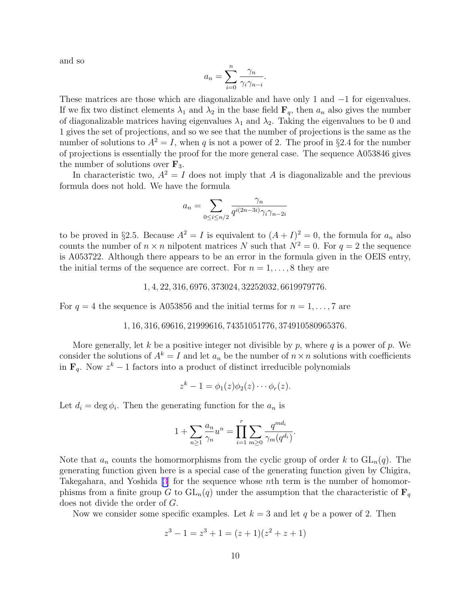and so

$$
a_n = \sum_{i=0}^n \frac{\gamma_n}{\gamma_i \gamma_{n-i}}.
$$

These matrices are those which are diagonalizable and have only 1 and −1 for eigenvalues. If we fix two distinct elements  $\lambda_1$  and  $\lambda_2$  in the base field  $\mathbf{F}_q$ , then  $a_n$  also gives the number of diagonalizable matrices having eigenvalues  $\lambda_1$  and  $\lambda_2$ . Taking the eigenvalues to be 0 and 1 gives the set of projections, and so we see that the number of projections is the same as the number of solutions to  $A^2 = I$ , when q is not a power of 2. The proof in §2.4 for the number of projections is essentially the proof for the more general case. The sequence A053846 gives the number of solutions over  $\mathbf{F}_3$ .

In characteristic two,  $A^2 = I$  does not imply that A is diagonalizable and the previous formula does not hold. We have the formula

$$
a_n = \sum_{0 \le i \le n/2} \frac{\gamma_n}{q^{i(2n-3i)} \gamma_i \gamma_{n-2i}}
$$

to be proved in §2.5. Because  $A^2 = I$  is equivalent to  $(A + I)^2 = 0$ , the formula for  $a_n$  also counts the number of  $n \times n$  nilpotent matrices N such that  $N^2 = 0$ . For  $q = 2$  the sequence is A053722. Although there appears to be an error in the formula given in the OEIS entry, the initial terms of the sequence are correct. For  $n = 1, \ldots, 8$  they are

#### 1, 4, 22, 316, 6976, 373024, 32252032, 6619979776.

For  $q = 4$  the sequence is A053856 and the initial terms for  $n = 1, \ldots, 7$  are

#### 1, 16, 316, 69616, 21999616, 74351051776, 374910580965376.

More generally, let k be a positive integer not divisible by p, where q is a power of p. We consider the solutions of  $A^k = I$  and let  $a_n$  be the number of  $n \times n$  solutions with coefficients in  $\mathbf{F}_q$ . Now  $z^k - 1$  factors into a product of distinct irreducible polynomials

$$
z^{k}-1=\phi_{1}(z)\phi_{2}(z)\cdots\phi_{r}(z).
$$

Let  $d_i = \deg \phi_i$ . Then the generating function for the  $a_n$  is

$$
1 + \sum_{n \ge 1} \frac{a_n}{\gamma_n} u^n = \prod_{i=1}^r \sum_{m \ge 0} \frac{q^{m d_i}}{\gamma_m(q^{d_i})}.
$$

Note that  $a_n$  counts the homormorphisms from the cyclic group of order k to  $GL_n(q)$ . The generating function given here is a special case of the generating function given by Chigira, Takegahara, and Yoshida [\[3](#page-25-0)] for the sequence whose nth term is the number of homomorphisms from a finite group G to  $GL_n(q)$  under the assumption that the characteristic of  $\mathbf{F}_q$ does not divide the order of G.

Now we consider some specific examples. Let  $k = 3$  and let q be a power of 2. Then

$$
z^3 - 1 = z^3 + 1 = (z+1)(z^2 + z + 1)
$$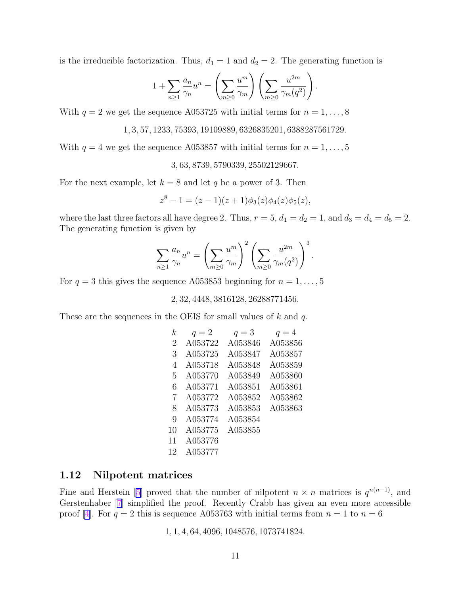is the irreducible factorization. Thus,  $d_1 = 1$  and  $d_2 = 2$ . The generating function is

$$
1 + \sum_{n\geq 1} \frac{a_n}{\gamma_n} u^n = \left(\sum_{m\geq 0} \frac{u^m}{\gamma_m}\right) \left(\sum_{m\geq 0} \frac{u^{2m}}{\gamma_m(q^2)}\right).
$$

With  $q = 2$  we get the sequence A053725 with initial terms for  $n = 1, \ldots, 8$ 

1, 3, 57, 1233, 75393, 19109889, 6326835201, 6388287561729.

With  $q = 4$  we get the sequence A053857 with initial terms for  $n = 1, \ldots, 5$ 

3, 63, 8739, 5790339, 25502129667.

For the next example, let  $k = 8$  and let q be a power of 3. Then

$$
z^8 - 1 = (z - 1)(z + 1)\phi_3(z)\phi_4(z)\phi_5(z),
$$

where the last three factors all have degree 2. Thus,  $r = 5$ ,  $d_1 = d_2 = 1$ , and  $d_3 = d_4 = d_5 = 2$ . The generating function is given by

$$
\sum_{n\geq 1} \frac{a_n}{\gamma_n} u^n = \left(\sum_{m\geq 0} \frac{u^m}{\gamma_m}\right)^2 \left(\sum_{m\geq 0} \frac{u^{2m}}{\gamma_m(q^2)}\right)^3.
$$

For  $q = 3$  this gives the sequence A053853 beginning for  $n = 1, \ldots, 5$ 

2, 32, 4448, 3816128, 26288771456.

These are the sequences in the OEIS for small values of  $k$  and  $q$ .

| k. | $q=2$   | $q=3$   | $q=4$   |
|----|---------|---------|---------|
| 2  | A053722 | A053846 | A053856 |
| 3  | A053725 | A053847 | A053857 |
| 4  | A053718 | A053848 | A053859 |
| 5  | A053770 | A053849 | A053860 |
| 6  | A053771 | A053851 | A053861 |
| 7  | A053772 | A053852 | A053862 |
| 8  | A053773 | A053853 | A053863 |
| 9  | A053774 | A053854 |         |
| 10 | A053775 | A053855 |         |
| 11 | A053776 |         |         |
| 12 | A053777 |         |         |

### 1.12 Nilpotent matrices

Fine and Herstein [\[5\]](#page-26-0) proved that the number of nilpotent  $n \times n$  matrices is  $q^{n(n-1)}$ , and Gerstenhaber [\[7\]](#page-26-0) simplified the proof. Recently Crabb has given an even more accessible proof [[4\]](#page-26-0). For  $q = 2$  this is sequence A053763 with initial terms from  $n = 1$  to  $n = 6$ 

1, 1, 4, 64, 4096, 1048576, 1073741824.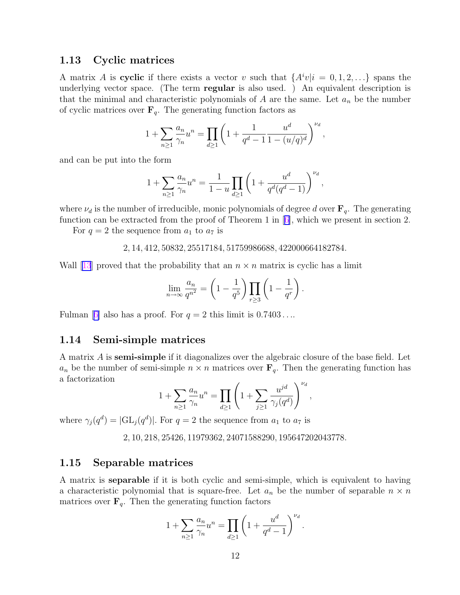#### 1.13 Cyclic matrices

A matrix A is cyclic if there exists a vector v such that  $\{A^iv|i=0,1,2,\ldots\}$  spans the underlying vector space. (The term **regular** is also used.) An equivalent description is that the minimal and characteristic polynomials of A are the same. Let  $a_n$  be the number of cyclic matrices over  $\mathbf{F}_q$ . The generating function factors as

$$
1 + \sum_{n\geq 1} \frac{a_n}{\gamma_n} u^n = \prod_{d\geq 1} \left( 1 + \frac{1}{q^d - 1} \frac{u^d}{1 - (u/q)^d} \right)^{\nu_d},
$$

and can be put into the form

$$
1 + \sum_{n\geq 1} \frac{a_n}{\gamma_n} u^n = \frac{1}{1-u} \prod_{d\geq 1} \left( 1 + \frac{u^d}{q^d (q^d - 1)} \right)^{\nu_d},
$$

where  $\nu_d$  is the number of irreducible, monic polynomials of degree d over  $\mathbf{F}_q$ . The generating function can be extracted from the proof of Theorem 1 in  $[6]$  $[6]$ , which we present in section 2.

For  $q = 2$  the sequence from  $a_1$  to  $a_7$  is

$$
2, 14, 412, 50832, 25517184, 51759986688, 422000664182784.
$$

Wall [[13](#page-26-0)] proved that the probability that an  $n \times n$  matrix is cyclic has a limit

$$
\lim_{n \to \infty} \frac{a_n}{q^{n^2}} = \left(1 - \frac{1}{q^5}\right) \prod_{r \ge 3} \left(1 - \frac{1}{q^r}\right).
$$

Fulman [[6\]](#page-26-0) also has a proof. For  $q = 2$  this limit is  $0.7403...$ 

#### 1.14 Semi-simple matrices

A matrix A is semi-simple if it diagonalizes over the algebraic closure of the base field. Let  $a_n$  be the number of semi-simple  $n \times n$  matrices over  $\mathbf{F}_q$ . Then the generating function has a factorization  $\sqrt{u}$ 

$$
1 + \sum_{n \ge 1} \frac{a_n}{\gamma_n} u^n = \prod_{d \ge 1} \left( 1 + \sum_{j \ge 1} \frac{u^{jd}}{\gamma_j(q^d)} \right)^{\nu_d},
$$

where  $\gamma_j(q^d) = |\mathrm{GL}_j(q^d)|$ . For  $q = 2$  the sequence from  $a_1$  to  $a_7$  is

2, 10, 218, 25426, 11979362, 24071588290, 195647202043778.

### 1.15 Separable matrices

A matrix is separable if it is both cyclic and semi-simple, which is equivalent to having a characteristic polynomial that is square-free. Let  $a_n$  be the number of separable  $n \times n$ matrices over  $\mathbf{F}_q$ . Then the generating function factors

$$
1 + \sum_{n \ge 1} \frac{a_n}{\gamma_n} u^n = \prod_{d \ge 1} \left( 1 + \frac{u^d}{q^d - 1} \right)^{\nu_d}.
$$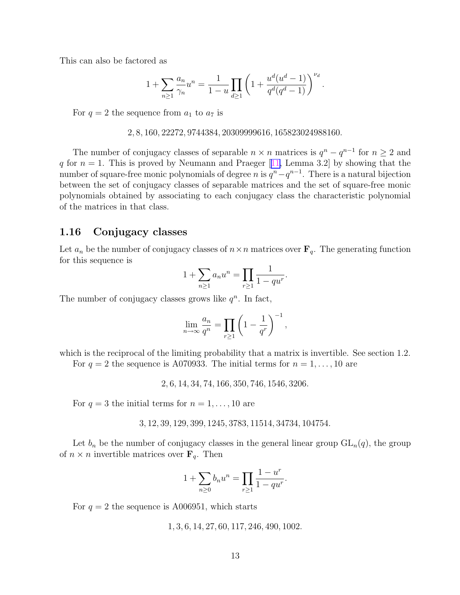This can also be factored as

$$
1 + \sum_{n \ge 1} \frac{a_n}{\gamma_n} u^n = \frac{1}{1-u} \prod_{d \ge 1} \left( 1 + \frac{u^d(u^d - 1)}{q^d(q^d - 1)} \right)^{\nu_d}.
$$

For  $q = 2$  the sequence from  $a_1$  to  $a_7$  is

#### 2, 8, 160, 22272, 9744384, 20309999616, 165823024988160.

The number of conjugacy classes of separable  $n \times n$  matrices is  $q^n - q^{n-1}$  for  $n \geq 2$  and q for  $n = 1$ . This is proved by Neumann and Praeger [[11,](#page-26-0) Lemma 3.2] by showing that the number of square-free monic polynomials of degree n is  $q^{n}-q^{n-1}$ . There is a natural bijection between the set of conjugacy classes of separable matrices and the set of square-free monic polynomials obtained by associating to each conjugacy class the characteristic polynomial of the matrices in that class.

#### 1.16 Conjugacy classes

Let  $a_n$  be the number of conjugacy classes of  $n \times n$  matrices over  $\mathbf{F}_q$ . The generating function for this sequence is

$$
1 + \sum_{n \ge 1} a_n u^n = \prod_{r \ge 1} \frac{1}{1 - q u^r}.
$$

The number of conjugacy classes grows like  $q^n$ . In fact,

$$
\lim_{n \to \infty} \frac{a_n}{q^n} = \prod_{r \ge 1} \left( 1 - \frac{1}{q^r} \right)^{-1},
$$

which is the reciprocal of the limiting probability that a matrix is invertible. See section 1.2. For  $q = 2$  the sequence is A070933. The initial terms for  $n = 1, \ldots, 10$  are

2, 6, 14, 34, 74, 166, 350, 746, 1546, 3206.

For  $q = 3$  the initial terms for  $n = 1, \ldots, 10$  are

$$
3, 12, 39, 129, 399, 1245, 3783, 11514, 34734, 104754.
$$

Let  $b_n$  be the number of conjugacy classes in the general linear group  $GL_n(q)$ , the group of  $n \times n$  invertible matrices over  $\mathbf{F}_q$ . Then

$$
1 + \sum_{n \ge 0} b_n u^n = \prod_{r \ge 1} \frac{1 - u^r}{1 - qu^r}.
$$

For  $q = 2$  the sequence is A006951, which starts

1, 3, 6, 14, 27, 60, 117, 246, 490, 1002.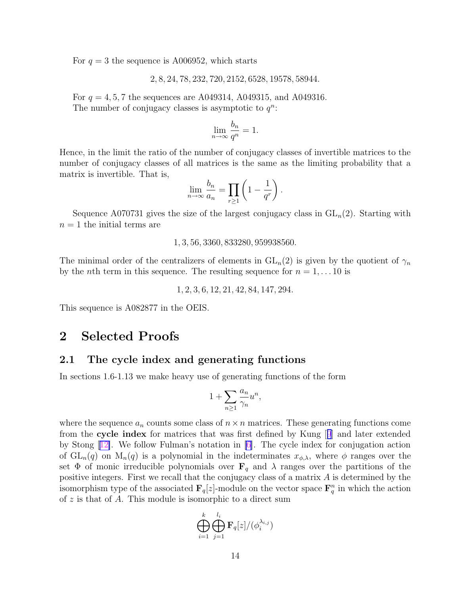For  $q = 3$  the sequence is A006952, which starts

2, 8, 24, 78, 232, 720, 2152, 6528, 19578, 58944.

For  $q = 4, 5, 7$  the sequences are A049314, A049315, and A049316. The number of conjugacy classes is asymptotic to  $q^n$ :

$$
\lim_{n \to \infty} \frac{b_n}{q^n} = 1.
$$

Hence, in the limit the ratio of the number of conjugacy classes of invertible matrices to the number of conjugacy classes of all matrices is the same as the limiting probability that a matrix is invertible. That is,

$$
\lim_{n \to \infty} \frac{b_n}{a_n} = \prod_{r \ge 1} \left( 1 - \frac{1}{q^r} \right).
$$

Sequence A070731 gives the size of the largest conjugacy class in  $GL_n(2)$ . Starting with  $n = 1$  the initial terms are

1, 3, 56, 3360, 833280, 959938560.

The minimal order of the centralizers of elements in  $GL_n(2)$  is given by the quotient of  $\gamma_n$ by the *n*th term in this sequence. The resulting sequence for  $n = 1, \ldots 10$  is

1, 2, 3, 6, 12, 21, 42, 84, 147, 294.

This sequence is A082877 in the OEIS.

## 2 Selected Proofs

#### 2.1 The cycle index and generating functions

In sections 1.6-1.13 we make heavy use of generating functions of the form

$$
1 + \sum_{n \ge 1} \frac{a_n}{\gamma_n} u^n,
$$

where the sequence  $a_n$  counts some class of  $n \times n$  matrices. These generating functions come from the cycle index for matrices that was first defined by Kung [[9](#page-26-0)] and later extended by Stong  $[12]$  $[12]$ . We follow Fulman's notation in  $[6]$  $[6]$ . The cycle index for conjugation action of  $GL_n(q)$  on  $M_n(q)$  is a polynomial in the indeterminates  $x_{\phi,\lambda}$ , where  $\phi$  ranges over the set  $\Phi$  of monic irreducible polynomials over  $\mathbf{F}_q$  and  $\lambda$  ranges over the partitions of the positive integers. First we recall that the conjugacy class of a matrix  $A$  is determined by the isomorphism type of the associated  $\mathbf{F}_q[z]$ -module on the vector space  $\mathbf{F}_q^n$  in which the action of  $z$  is that of  $A$ . This module is isomorphic to a direct sum

$$
\bigoplus_{i=1}^k \bigoplus_{j=1}^{l_i} \mathbf{F}_q[z]/(\phi_i^{\lambda_{i,j}})
$$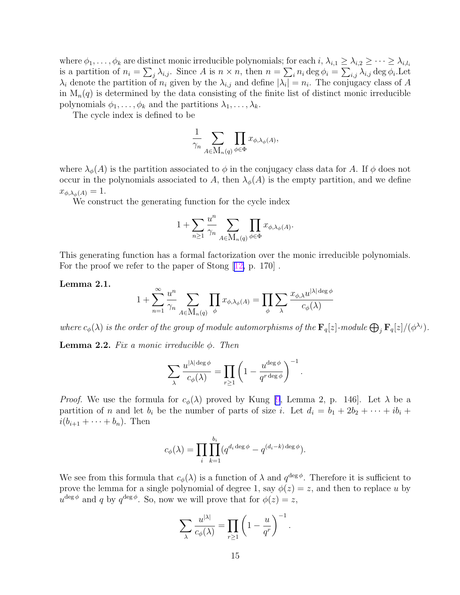where  $\phi_1, \ldots, \phi_k$  are distinct monic irreducible polynomials; for each  $i, \lambda_{i,1} \geq \lambda_{i,2} \geq \cdots \geq \lambda_{i,l_i}$ is a partition of  $n_i = \sum_j \lambda_{i,j}$ . Since A is  $n \times n$ , then  $n = \sum_i n_i \deg \phi_i = \sum_{i,j} \lambda_{i,j} \deg \phi_i$ . Let  $\lambda_i$  denote the partition of  $n_i$  given by the  $\lambda_{i,j}$  and define  $|\lambda_i| = n_i$ . The conjugacy class of A in  $M_n(q)$  is determined by the data consisting of the finite list of distinct monic irreducible polynomials  $\phi_1, \ldots, \phi_k$  and the partitions  $\lambda_1, \ldots, \lambda_k$ .

The cycle index is defined to be

$$
\frac{1}{\gamma_n} \sum_{A \in \mathbf{M}_n(q)} \prod_{\phi \in \Phi} x_{\phi, \lambda_{\phi}(A)},
$$

where  $\lambda_{\phi}(A)$  is the partition associated to  $\phi$  in the conjugacy class data for A. If  $\phi$  does not occur in the polynomials associated to A, then  $\lambda_{\phi}(A)$  is the empty partition, and we define  $x_{\phi,\lambda_\phi(A)} = 1.$ 

We construct the generating function for the cycle index

$$
1 + \sum_{n \geq 1} \frac{u^n}{\gamma_n} \sum_{A \in \mathcal{M}_n(q)} \prod_{\phi \in \Phi} x_{\phi, \lambda_{\phi}(A)}.
$$

This generating function has a formal factorization over the monic irreducible polynomials. For the proof we refer to the paper of Stong [[12,](#page-26-0) p. 170].

Lemma 2.1.

$$
1+\sum_{n=1}^\infty \frac{u^n}{\gamma_n}\sum_{A\in \mathbf M_n(q)}\prod_\phi x_{\phi,\lambda_\phi(A)}=\prod_\phi\sum_\lambda\frac{x_{\phi,\lambda}u^{|\lambda|\deg\phi}}{c_\phi(\lambda)}
$$

where  $c_\phi(\lambda)$  is the order of the group of module automorphisms of the  $\mathbf{F}_q[z]$ -module  $\bigoplus_j \mathbf{F}_q[z]/(\phi^{\lambda_j})$ .

**Lemma 2.2.** Fix a monic irreducible  $\phi$ . Then

$$
\sum_{\lambda} \frac{u^{|\lambda| \deg \phi}}{c_{\phi}(\lambda)} = \prod_{r \ge 1} \left(1 - \frac{u^{\deg \phi}}{q^{r \deg \phi}}\right)^{-1}.
$$

*Proof.* We use the formula for  $c_{\phi}(\lambda)$  proved by Kung [\[9](#page-26-0), Lemma 2, p. 146]. Let  $\lambda$  be a partition of n and let  $b_i$  be the number of parts of size i. Let  $d_i = b_1 + 2b_2 + \cdots + ib_i$  $i(b_{i+1} + \cdots + b_n)$ . Then

$$
c_{\phi}(\lambda) = \prod_{i} \prod_{k=1}^{b_i} (q^{d_i \deg \phi} - q^{(d_i - k) \deg \phi}).
$$

We see from this formula that  $c_{\phi}(\lambda)$  is a function of  $\lambda$  and  $q^{\deg \phi}$ . Therefore it is sufficient to prove the lemma for a single polynomial of degree 1, say  $\phi(z) = z$ , and then to replace u by  $u^{\deg \phi}$  and q by  $q^{\deg \phi}$ . So, now we will prove that for  $\phi(z) = z$ ,

$$
\sum_{\lambda} \frac{u^{|\lambda|}}{c_{\phi}(\lambda)} = \prod_{r \ge 1} \left(1 - \frac{u}{q^r}\right)^{-1}.
$$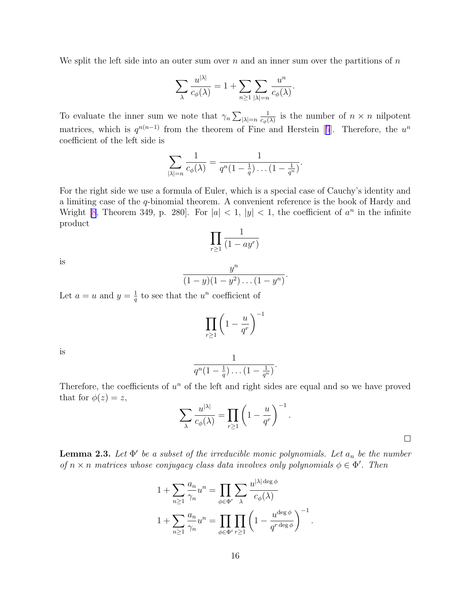We split the left side into an outer sum over n and an inner sum over the partitions of  $n$ 

$$
\sum_{\lambda} \frac{u^{|\lambda|}}{c_{\phi}(\lambda)} = 1 + \sum_{n \ge 1} \sum_{|\lambda|=n} \frac{u^n}{c_{\phi}(\lambda)}.
$$

To evaluate the inner sum we note that  $\gamma_n \sum_{|\lambda|=n}$ 1  $\frac{1}{c_{\phi}(\lambda)}$  is the number of  $n \times n$  nilpotent matrices, which is  $q^{n(n-1)}$  from the theorem of Fine and Herstein [[5](#page-26-0)]. Therefore, the  $u^n$ coefficient of the left side is

$$
\sum_{|\lambda|=n} \frac{1}{c_{\phi}(\lambda)} = \frac{1}{q^n(1-\frac{1}{q})\dots(1-\frac{1}{q^n})}.
$$

For the right side we use a formula of Euler, which is a special case of Cauchy's identity and a limiting case of the q-binomial theorem. A convenient reference is the book of Hardy and Wright [\[8](#page-26-0), Theorem 349, p. 280]. For  $|a| < 1$ ,  $|y| < 1$ , the coefficient of  $a^n$  in the infinite product

$$
\prod_{r\geq 1} \frac{1}{(1-ay^r)}
$$

is

$$
\frac{y^n}{(1-y)(1-y^2)\dots(1-y^n)}.
$$

Let  $a = u$  and  $y = \frac{1}{a}$  $\frac{1}{q}$  to see that the  $u^n$  coefficient of

$$
\prod_{r\geq 1}\left(1-\frac{u}{q^r}\right)^{-1}
$$

is

$$
\frac{1}{q^n(1-\frac{1}{q})\dots(1-\frac{1}{q^n})}.
$$

Therefore, the coefficients of  $u^n$  of the left and right sides are equal and so we have proved that for  $\phi(z) = z$ ,

$$
\sum_{\lambda} \frac{u^{|\lambda|}}{c_{\phi}(\lambda)} = \prod_{r \ge 1} \left( 1 - \frac{u}{q^r} \right)^{-1}.
$$

**Lemma 2.3.** Let  $\Phi'$  be a subset of the irreducible monic polynomials. Let  $a_n$  be the number of  $n \times n$  matrices whose conjugacy class data involves only polynomials  $\phi \in \Phi'$ . Then

$$
1 + \sum_{n\geq 1} \frac{a_n}{\gamma_n} u^n = \prod_{\phi \in \Phi'} \sum_{\lambda} \frac{u^{|\lambda| \deg \phi}}{c_{\phi}(\lambda)}
$$

$$
1 + \sum_{n\geq 1} \frac{a_n}{\gamma_n} u^n = \prod_{\phi \in \Phi'} \prod_{r\geq 1} \left(1 - \frac{u^{\deg \phi}}{q^{r \deg \phi}}\right)^{-1}.
$$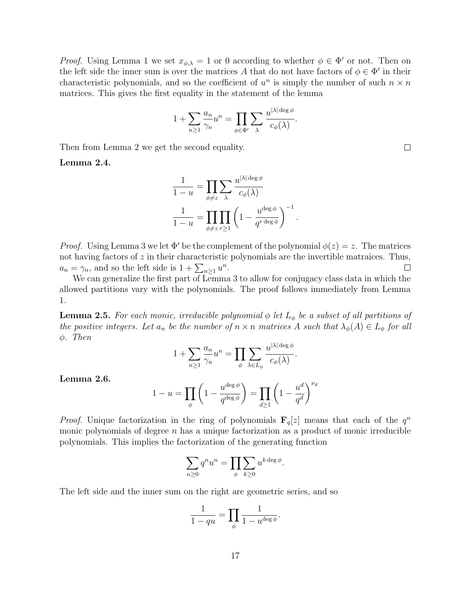*Proof.* Using Lemma 1 we set  $x_{\phi,\lambda} = 1$  or 0 according to whether  $\phi \in \Phi'$  or not. Then on the left side the inner sum is over the matrices A that do not have factors of  $\phi \in \Phi'$  in their characteristic polynomials, and so the coefficient of  $u^n$  is simply the number of such  $n \times n$ matrices. This gives the first equality in the statement of the lemma

$$
1 + \sum_{n \geq 1} \frac{a_n}{\gamma_n} u^n = \prod_{\phi \in \Phi'} \sum_{\lambda} \frac{u^{|\lambda| \deg \phi}}{c_{\phi}(\lambda)}.
$$

Then from Lemma 2 we get the second equality.

Lemma 2.4.

$$
\frac{1}{1-u} = \prod_{\phi \neq z} \sum_{\lambda} \frac{u^{|\lambda| \deg \phi}}{c_{\phi}(\lambda)}
$$

$$
\frac{1}{1-u} = \prod_{\phi \neq z} \prod_{r \geq 1} \left(1 - \frac{u^{\deg \phi}}{q^{r \deg \phi}}\right)^{-1}.
$$

*Proof.* Using Lemma 3 we let  $\Phi'$  be the complement of the polynomial  $\phi(z) = z$ . The matrices not having factors of z in their characteristic polynomials are the invertible matraices. Thus,  $a_n = \gamma_n$ , and so the left side is  $1 + \sum_{n\geq 1} u^n$ .  $\Box$ 

We can generalize the first part of Lemma 3 to allow for conjugacy class data in which the allowed partitions vary with the polynomials. The proof follows immediately from Lemma 1.

**Lemma 2.5.** For each monic, irreducible polynomial  $\phi$  let  $L_{\phi}$  be a subset of all partitions of the positive integers. Let  $a_n$  be the number of  $n \times n$  matrices A such that  $\lambda_{\phi}(A) \in L_{\phi}$  for all φ. Then

$$
1 + \sum_{n\geq 1} \frac{a_n}{\gamma_n} u^n = \prod_{\phi} \sum_{\lambda \in L_{\phi}} \frac{u^{|\lambda| \deg \phi}}{c_{\phi}(\lambda)}.
$$

Lemma 2.6.

$$
1 - u = \prod_{\phi} \left( 1 - \frac{u^{\deg \phi}}{q^{\deg \phi}} \right) = \prod_{d \ge 1} \left( 1 - \frac{u^d}{q^d} \right)^{\nu_d}
$$

*Proof.* Unique factorization in the ring of polynomials  $\mathbf{F}_q[z]$  means that each of the  $q^n$ monic polynomials of degree  $n$  has a unique factorization as a product of monic irreducible polynomials. This implies the factorization of the generating function

$$
\sum_{n\geq 0} q^n u^n = \prod_{\phi} \sum_{k\geq 0} u^{k \deg \phi}.
$$

The left side and the inner sum on the right are geometric series, and so

$$
\frac{1}{1-qu} = \prod_{\phi} \frac{1}{1-u^{\deg\phi}}.
$$

17

 $\Box$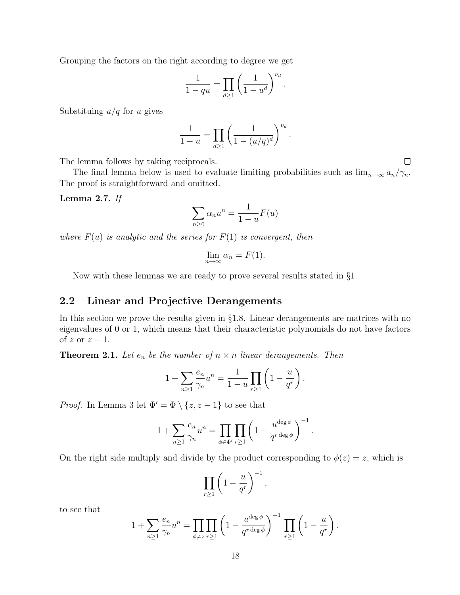Grouping the factors on the right according to degree we get

$$
\frac{1}{1-qu} = \prod_{d \ge 1} \left(\frac{1}{1-u^d}\right)^{\nu_d}
$$

.

Substituing  $u/q$  for u gives

$$
\frac{1}{1-u} = \prod_{d \ge 1} \left( \frac{1}{1-(u/q)^d} \right)^{\nu_d}.
$$

The lemma follows by taking reciprocals.

The final lemma below is used to evaluate limiting probabilities such as  $\lim_{n\to\infty} a_n/\gamma_n$ . The proof is straightforward and omitted.

Lemma 2.7. If

$$
\sum_{n\geq 0} \alpha_n u^n = \frac{1}{1-u} F(u)
$$

where  $F(u)$  is analytic and the series for  $F(1)$  is convergent, then

$$
\lim_{n \to \infty} \alpha_n = F(1).
$$

Now with these lemmas we are ready to prove several results stated in §1.

### 2.2 Linear and Projective Derangements

In this section we prove the results given in §1.8. Linear derangements are matrices with no eigenvalues of 0 or 1, which means that their characteristic polynomials do not have factors of  $z$  or  $z - 1$ .

**Theorem 2.1.** Let  $e_n$  be the number of  $n \times n$  linear derangements. Then

$$
1 + \sum_{n \ge 1} \frac{e_n}{\gamma_n} u^n = \frac{1}{1 - u} \prod_{r \ge 1} \left( 1 - \frac{u}{q^r} \right).
$$

*Proof.* In Lemma 3 let  $\Phi' = \Phi \setminus \{z, z - 1\}$  to see that

$$
1 + \sum_{n \geq 1} \frac{e_n}{\gamma_n} u^n = \prod_{\phi \in \Phi'} \prod_{r \geq 1} \left( 1 - \frac{u^{\deg \phi}}{q^{r \deg \phi}} \right)^{-1}.
$$

On the right side multiply and divide by the product corresponding to  $\phi(z) = z$ , which is

$$
\prod_{r\geq 1}\left(1-\frac{u}{q^r}\right)^{-1},\,
$$

to see that

$$
1 + \sum_{n\geq 1} \frac{e_n}{\gamma_n} u^n = \prod_{\phi \neq z} \prod_{r\geq 1} \left( 1 - \frac{u^{\deg \phi}}{q^{r \deg \phi}} \right)^{-1} \prod_{r\geq 1} \left( 1 - \frac{u}{q^r} \right).
$$

 $\Box$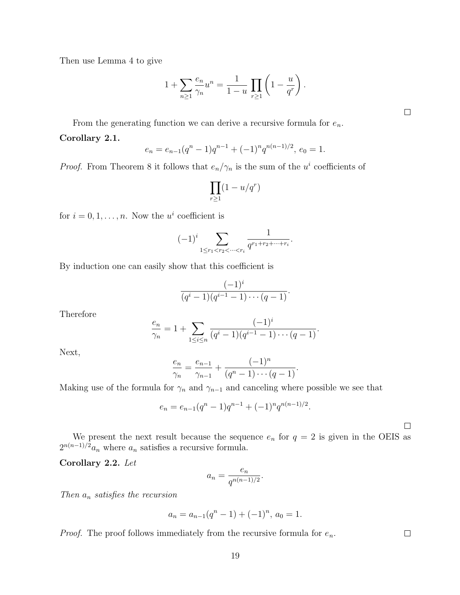Then use Lemma 4 to give

$$
1 + \sum_{n \ge 1} \frac{e_n}{\gamma_n} u^n = \frac{1}{1 - u} \prod_{r \ge 1} \left( 1 - \frac{u}{q^r} \right).
$$

 $\Box$ 

From the generating function we can derive a recursive formula for  $e_n$ .

Corollary 2.1.

$$
e_n = e_{n-1}(q^n - 1)q^{n-1} + (-1)^n q^{n(n-1)/2}, e_0 = 1.
$$

*Proof.* From Theorem 8 it follows that  $e_n/\gamma_n$  is the sum of the  $u^i$  coefficients of

$$
\prod_{r\geq 1} (1-u/q^r)
$$

for  $i = 0, 1, \ldots, n$ . Now the  $u^i$  coefficient is

$$
(-1)^{i} \sum_{1 \leq r_1 < r_2 < \dots < r_i} \frac{1}{q^{r_1 + r_2 + \dots + r_i}}.
$$

By induction one can easily show that this coefficient is

$$
\frac{(-1)^i}{(q^i-1)(q^{i-1}-1)\cdots(q-1)}.
$$

Therefore

$$
\frac{e_n}{\gamma_n} = 1 + \sum_{1 \le i \le n} \frac{(-1)^i}{(q^i - 1)(q^{i-1} - 1) \cdots (q-1)}.
$$

Next,

$$
\frac{e_n}{\gamma_n} = \frac{e_{n-1}}{\gamma_{n-1}} + \frac{(-1)^n}{(q^n - 1) \cdots (q-1)}.
$$

Making use of the formula for  $\gamma_n$  and  $\gamma_{n-1}$  and canceling where possible we see that

$$
e_n = e_{n-1}(q^n - 1)q^{n-1} + (-1)^n q^{n(n-1)/2}.
$$

 $\Box$ 

 $\Box$ 

We present the next result because the sequence  $e_n$  for  $q = 2$  is given in the OEIS as  $2^{n(n-1)/2}a_n$  where  $a_n$  satisfies a recursive formula.

Corollary 2.2. Let

$$
a_n = \frac{e_n}{q^{n(n-1)/2}}.
$$

Then  $a_n$  satisfies the recursion

$$
a_n = a_{n-1}(q^n - 1) + (-1)^n, \, a_0 = 1.
$$

*Proof.* The proof follows immediately from the recursive formula for  $e_n$ .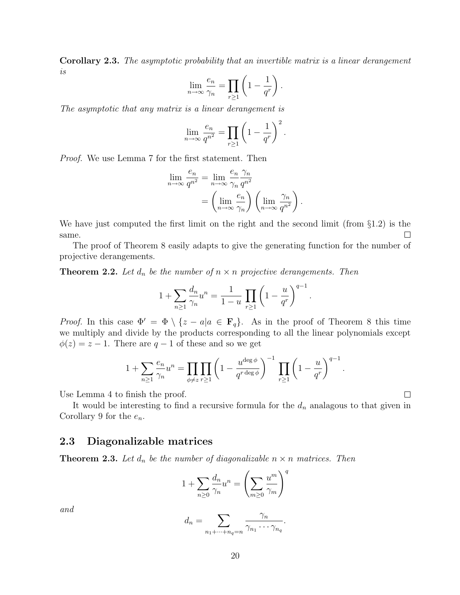Corollary 2.3. The asymptotic probability that an invertible matrix is a linear derangement is

$$
\lim_{n \to \infty} \frac{e_n}{\gamma_n} = \prod_{r \ge 1} \left( 1 - \frac{1}{q^r} \right).
$$

The asymptotic that any matrix is a linear derangement is

$$
\lim_{n \to \infty} \frac{e_n}{q^{n^2}} = \prod_{r \ge 1} \left( 1 - \frac{1}{q^r} \right)^2.
$$

Proof. We use Lemma 7 for the first statement. Then

$$
\lim_{n \to \infty} \frac{e_n}{q^{n^2}} = \lim_{n \to \infty} \frac{e_n}{\gamma_n} \frac{\gamma_n}{q^{n^2}} \n= \left(\lim_{n \to \infty} \frac{e_n}{\gamma_n}\right) \left(\lim_{n \to \infty} \frac{\gamma_n}{q^{n^2}}\right).
$$

We have just computed the first limit on the right and the second limit (from §1.2) is the same.  $\Box$ 

The proof of Theorem 8 easily adapts to give the generating function for the number of projective derangements.

**Theorem 2.2.** Let  $d_n$  be the number of  $n \times n$  projective derangements. Then

$$
1 + \sum_{n\geq 1} \frac{d_n}{\gamma_n} u^n = \frac{1}{1-u} \prod_{r\geq 1} \left( 1 - \frac{u}{q^r} \right)^{q-1}.
$$

*Proof.* In this case  $\Phi' = \Phi \setminus \{z - a | a \in \mathbf{F}_q\}$ . As in the proof of Theorem 8 this time we multiply and divide by the products corresponding to all the linear polynomials except  $\phi(z) = z - 1$ . There are  $q - 1$  of these and so we get

$$
1 + \sum_{n\geq 1} \frac{e_n}{\gamma_n} u^n = \prod_{\phi \neq z} \prod_{r\geq 1} \left( 1 - \frac{u^{\deg \phi}}{q^{r \deg \phi}} \right)^{-1} \prod_{r\geq 1} \left( 1 - \frac{u}{q^r} \right)^{q-1}.
$$

Use Lemma 4 to finish the proof.

It would be interesting to find a recursive formula for the  $d_n$  analagous to that given in Corollary 9 for the  $e_n$ .

 $\Box$ 

#### 2.3 Diagonalizable matrices

**Theorem 2.3.** Let  $d_n$  be the number of diagonalizable  $n \times n$  matrices. Then

$$
1 + \sum_{n\geq 0} \frac{d_n}{\gamma_n} u^n = \left(\sum_{m\geq 0} \frac{u^m}{\gamma_m}\right)^q
$$

and

$$
d_n = \sum_{n_1 + \dots + n_q = n} \frac{\gamma_n}{\gamma_{n_1} \cdots \gamma_{n_q}}.
$$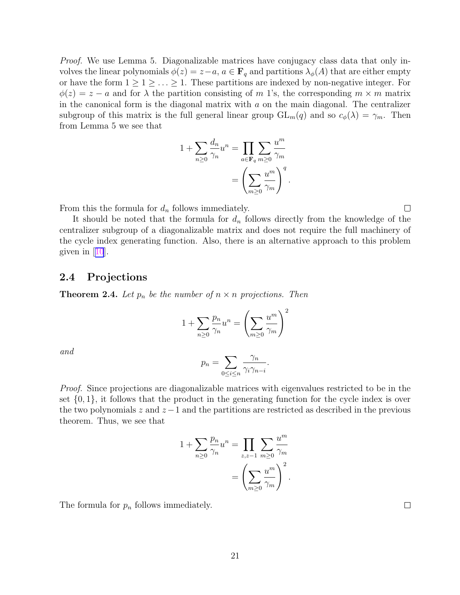Proof. We use Lemma 5. Diagonalizable matrices have conjugacy class data that only involves the linear polynomials  $\phi(z) = z - a, a \in \mathbf{F}_q$  and partitions  $\lambda_{\phi}(A)$  that are either empty or have the form  $1 \geq 1 \geq \ldots \geq 1$ . These partitions are indexed by non-negative integer. For  $\phi(z) = z - a$  and for  $\lambda$  the partition consisting of m 1's, the corresponding  $m \times m$  matrix in the canonical form is the diagonal matrix with  $a$  on the main diagonal. The centralizer subgroup of this matrix is the full general linear group  $GL_m(q)$  and so  $c_{\phi}(\lambda) = \gamma_m$ . Then from Lemma 5 we see that

$$
1 + \sum_{n\geq 0} \frac{d_n}{\gamma_n} u^n = \prod_{a \in \mathbf{F}_q} \sum_{m\geq 0} \frac{u^m}{\gamma_m}
$$

$$
= \left(\sum_{m\geq 0} \frac{u^m}{\gamma_m}\right)^q.
$$

From this the formula for  $d_n$  follows immediately.

It should be noted that the formula for  $d_n$  follows directly from the knowledge of the centralizer subgroup of a diagonalizable matrix and does not require the full machinery of the cycle index generating function. Also, there is an alternative approach to this problem given in [[10](#page-26-0)].

#### 2.4 Projections

**Theorem 2.4.** Let  $p_n$  be the number of  $n \times n$  projections. Then

$$
1 + \sum_{n\geq 0} \frac{p_n}{\gamma_n} u^n = \left(\sum_{m\geq 0} \frac{u^m}{\gamma_m}\right)^2
$$

and

$$
p_n = \sum_{0 \le i \le n} \frac{\gamma_n}{\gamma_i \gamma_{n-i}}.
$$

Proof. Since projections are diagonalizable matrices with eigenvalues restricted to be in the set  $\{0,1\}$ , it follows that the product in the generating function for the cycle index is over the two polynomials  $z$  and  $z-1$  and the partitions are restricted as described in the previous theorem. Thus, we see that

$$
1 + \sum_{n\geq 0} \frac{p_n}{\gamma_n} u^n = \prod_{z,z=1} \sum_{m\geq 0} \frac{u^m}{\gamma_m}
$$

$$
= \left(\sum_{m\geq 0} \frac{u^m}{\gamma_m}\right)^2
$$

.

The formula for  $p_n$  follows immediately.

 $\Box$ 

 $\Box$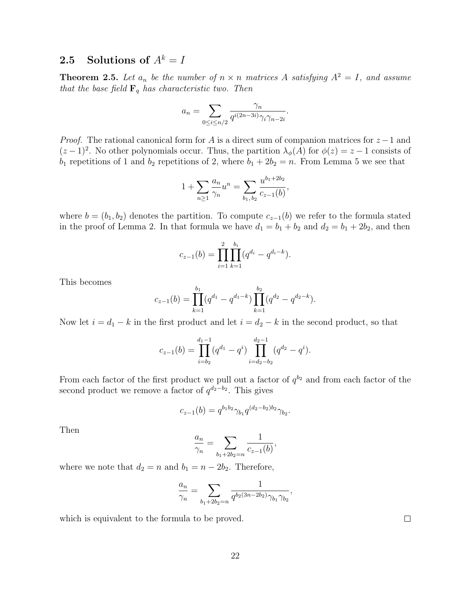# 2.5 Solutions of  $A^k = I$

**Theorem 2.5.** Let  $a_n$  be the number of  $n \times n$  matrices A satisfying  $A^2 = I$ , and assume that the base field  $\mathbf{F}_q$  has characteristic two. Then

$$
a_n = \sum_{0 \le i \le n/2} \frac{\gamma_n}{q^{i(2n-3i)} \gamma_i \gamma_{n-2i}}.
$$

*Proof.* The rational canonical form for A is a direct sum of companion matrices for  $z - 1$  and  $(z-1)^2$ . No other polynomials occur. Thus, the partition  $\lambda_{\phi}(A)$  for  $\phi(z) = z-1$  consists of  $b_1$  repetitions of 1 and  $b_2$  repetitions of 2, where  $b_1 + 2b_2 = n$ . From Lemma 5 we see that

$$
1 + \sum_{n\geq 1} \frac{a_n}{\gamma_n} u^n = \sum_{b_1, b_2} \frac{u^{b_1+2b_2}}{c_{z-1}(b)},
$$

where  $b = (b_1, b_2)$  denotes the partition. To compute  $c_{z-1}(b)$  we refer to the formula stated in the proof of Lemma 2. In that formula we have  $d_1 = b_1 + b_2$  and  $d_2 = b_1 + 2b_2$ , and then

$$
c_{z-1}(b) = \prod_{i=1}^{2} \prod_{k=1}^{b_i} (q^{d_i} - q^{d_i-k}).
$$

This becomes

$$
c_{z-1}(b) = \prod_{k=1}^{b_1} (q^{d_1} - q^{d_1-k}) \prod_{k=1}^{b_2} (q^{d_2} - q^{d_2-k}).
$$

Now let  $i = d_1 - k$  in the first product and let  $i = d_2 - k$  in the second product, so that

$$
c_{z-1}(b) = \prod_{i=b_2}^{d_1-1} (q^{d_1} - q^i) \prod_{i=d_2-b_2}^{d_2-1} (q^{d_2} - q^i).
$$

From each factor of the first product we pull out a factor of  $q^{b_2}$  and from each factor of the second product we remove a factor of  $q^{d_2-b_2}$ . This gives

$$
c_{z-1}(b) = q^{b_1b_2} \gamma_{b_1} q^{(d_2-b_2)b_2} \gamma_{b_2}.
$$

Then

$$
\frac{a_n}{\gamma_n} = \sum_{b_1 + 2b_2 = n} \frac{1}{c_{z-1}(b)},
$$

where we note that  $d_2 = n$  and  $b_1 = n - 2b_2$ . Therefore,

$$
\frac{a_n}{\gamma_n} = \sum_{b_1 + 2b_2 = n} \frac{1}{q^{b_2(3n - 2b_2)} \gamma_{b_1} \gamma_{b_2}},
$$

which is equivalent to the formula to be proved.

 $\Box$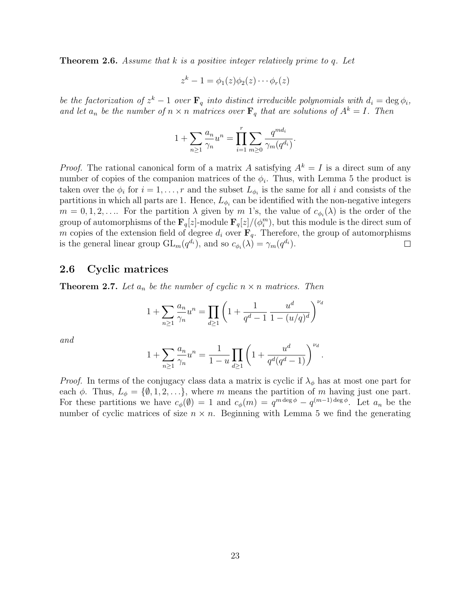**Theorem 2.6.** Assume that k is a positive integer relatively prime to q. Let

$$
z^k - 1 = \phi_1(z)\phi_2(z)\cdots\phi_r(z)
$$

be the factorization of  $z^k - 1$  over  $\mathbf{F}_q$  into distinct irreducible polynomials with  $d_i = \deg \phi_i$ , and let  $a_n$  be the number of  $n \times n$  matrices over  $\mathbf{F}_q$  that are solutions of  $A^k = I$ . Then

$$
1 + \sum_{n \ge 1} \frac{a_n}{\gamma_n} u^n = \prod_{i=1}^r \sum_{m \ge 0} \frac{q^{m d_i}}{\gamma_m(q^{d_i})}.
$$

*Proof.* The rational canonical form of a matrix A satisfying  $A^k = I$  is a direct sum of any number of copies of the companion matrices of the  $\phi_i$ . Thus, with Lemma 5 the product is taken over the  $\phi_i$  for  $i = 1, \ldots, r$  and the subset  $L_{\phi_i}$  is the same for all i and consists of the partitions in which all parts are 1. Hence,  $L_{\phi_i}$  can be identified with the non-negative integers  $m = 0, 1, 2, \ldots$  For the partition  $\lambda$  given by m 1's, the value of  $c_{\phi_i}(\lambda)$  is the order of the group of automorphisms of the  $\mathbf{F}_q[z]$ -module  $\mathbf{F}_q[z]/(\phi^m_i)$ , but this module is the direct sum of m copies of the extension field of degree  $d_i$  over  $\mathbf{F}_q$ . Therefore, the group of automorphisms is the general linear group  $GL_m(q^{d_i})$ , and so  $c_{\phi_i}(\lambda) = \gamma_m(q^{d_i})$ . □

#### 2.6 Cyclic matrices

**Theorem 2.7.** Let  $a_n$  be the number of cyclic  $n \times n$  matrices. Then

$$
1 + \sum_{n\geq 1} \frac{a_n}{\gamma_n} u^n = \prod_{d\geq 1} \left( 1 + \frac{1}{q^d - 1} \frac{u^d}{1 - (u/q)^d} \right)^{\nu_d}
$$

and

$$
1 + \sum_{n \ge 1} \frac{a_n}{\gamma_n} u^n = \frac{1}{1 - u} \prod_{d \ge 1} \left( 1 + \frac{u^d}{q^d (q^d - 1)} \right)^{\nu_d}.
$$

*Proof.* In terms of the conjugacy class data a matrix is cyclic if  $\lambda_{\phi}$  has at most one part for each  $\phi$ . Thus,  $L_{\phi} = \{\emptyset, 1, 2, \ldots\}$ , where m means the partition of m having just one part. For these partitions we have  $c_{\phi}(\emptyset) = 1$  and  $c_{\phi}(m) = q^{m \deg \phi} - q^{(m-1) \deg \phi}$ . Let  $a_n$  be the number of cyclic matrices of size  $n \times n$ . Beginning with Lemma 5 we find the generating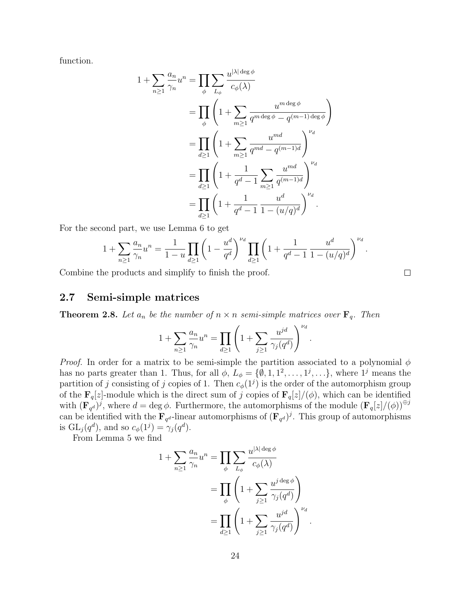function.

$$
1 + \sum_{n\geq 1} \frac{a_n}{\gamma_n} u^n = \prod_{\phi} \sum_{L_{\phi}} \frac{u^{|\lambda| \deg \phi}}{c_{\phi}(\lambda)}
$$
  
= 
$$
\prod_{\phi} \left( 1 + \sum_{m\geq 1} \frac{u^{m \deg \phi}}{q^{m \deg \phi} - q^{(m-1) \deg \phi}} \right)
$$
  
= 
$$
\prod_{d\geq 1} \left( 1 + \sum_{m\geq 1} \frac{u^{md}}{q^{md} - q^{(m-1)d}} \right)^{\nu_d}
$$
  
= 
$$
\prod_{d\geq 1} \left( 1 + \frac{1}{q^d - 1} \sum_{m\geq 1} \frac{u^{md}}{q^{(m-1)d}} \right)^{\nu_d}
$$
  
= 
$$
\prod_{d\geq 1} \left( 1 + \frac{1}{q^d - 1} \frac{u^d}{1 - (u/q)^d} \right)^{\nu_d}.
$$

For the second part, we use Lemma 6 to get

$$
1 + \sum_{n\geq 1} \frac{a_n}{\gamma_n} u^n = \frac{1}{1-u} \prod_{d\geq 1} \left( 1 - \frac{u^d}{q^d} \right)^{\nu_d} \prod_{d\geq 1} \left( 1 + \frac{1}{q^d - 1} \frac{u^d}{1 - (u/q)^d} \right)^{\nu_d}.
$$

 $\Box$ 

Combine the products and simplify to finish the proof.

#### 2.7 Semi-simple matrices

**Theorem 2.8.** Let  $a_n$  be the number of  $n \times n$  semi-simple matrices over  $\mathbf{F}_q$ . Then

$$
1 + \sum_{n \ge 1} \frac{a_n}{\gamma_n} u^n = \prod_{d \ge 1} \left( 1 + \sum_{j \ge 1} \frac{u^{jd}}{\gamma_j(q^d)} \right)^{\nu_d}.
$$

*Proof.* In order for a matrix to be semi-simple the partition associated to a polynomial  $\phi$ has no parts greater than 1. Thus, for all  $\phi$ ,  $L_{\phi} = \{\emptyset, 1, 1^2, \ldots, 1^j, \ldots\}$ , where  $1^j$  means the partition of j consisting of j copies of 1. Then  $c_{\phi}(1^j)$  is the order of the automorphism group of the  $\mathbf{F}_q[z]$ -module which is the direct sum of j copies of  $\mathbf{F}_q[z]/(\phi)$ , which can be identified with  $(\mathbf{F}_{q}^{d})^{j}$ , where  $d = \text{deg }\phi$ . Furthermore, the automorphisms of the module  $(\mathbf{F}_{q}[z]/(\phi))^{\oplus j}$ can be identified with the  $\mathbf{F}_{q^d}$ -linear automorphisms of  $(\mathbf{F}_{q^d})^j$ . This group of automorphisms is  $GL_j(q^d)$ , and so  $c_{\phi}(1^j) = \gamma_j(q^d)$ .

From Lemma 5 we find

$$
1 + \sum_{n\geq 1} \frac{a_n}{\gamma_n} u^n = \prod_{\phi} \sum_{L_{\phi}} \frac{u^{|\lambda| \deg \phi}}{c_{\phi}(\lambda)}
$$
  
= 
$$
\prod_{\phi} \left( 1 + \sum_{j\geq 1} \frac{u^{j \deg \phi}}{\gamma_j(q^d)} \right)
$$
  
= 
$$
\prod_{d\geq 1} \left( 1 + \sum_{j\geq 1} \frac{u^{jd}}{\gamma_j(q^d)} \right)^{\nu_d}.
$$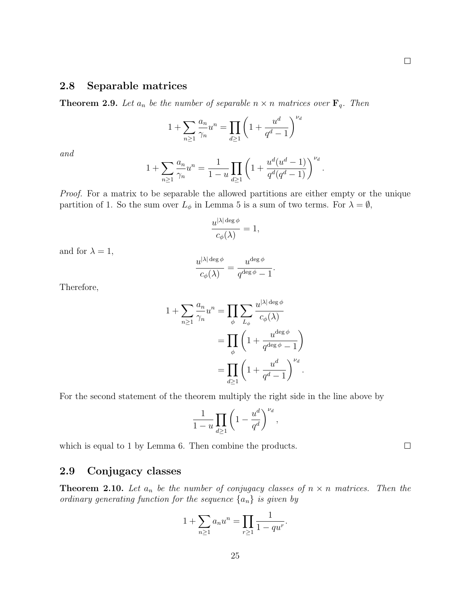### 2.8 Separable matrices

**Theorem 2.9.** Let  $a_n$  be the number of separable  $n \times n$  matrices over  $\mathbf{F}_q$ . Then

$$
1 + \sum_{n \ge 1} \frac{a_n}{\gamma_n} u^n = \prod_{d \ge 1} \left( 1 + \frac{u^d}{q^d - 1} \right)^{\nu_d}
$$

and

$$
1 + \sum_{n\geq 1} \frac{a_n}{\gamma_n} u^n = \frac{1}{1-u} \prod_{d\geq 1} \left( 1 + \frac{u^d (u^d - 1)}{q^d (q^d - 1)} \right)^{\nu_d}.
$$

Proof. For a matrix to be separable the allowed partitions are either empty or the unique partition of 1. So the sum over  $L_{\phi}$  in Lemma 5 is a sum of two terms. For  $\lambda = \emptyset$ ,

$$
\frac{u^{|\lambda| \deg \phi}}{c_{\phi}(\lambda)} = 1,
$$

and for  $\lambda = 1$ ,

$$
\frac{u^{|\lambda| \deg \phi}}{c_{\phi}(\lambda)} = \frac{u^{\deg \phi}}{q^{\deg \phi} - 1}.
$$

Therefore,

$$
1 + \sum_{n\geq 1} \frac{a_n}{\gamma_n} u^n = \prod_{\phi} \sum_{L_{\phi}} \frac{u^{|\lambda| \deg \phi}}{c_{\phi}(\lambda)}
$$
  
= 
$$
\prod_{\phi} \left( 1 + \frac{u^{\deg \phi}}{q^{\deg \phi} - 1} \right)
$$
  
= 
$$
\prod_{d\geq 1} \left( 1 + \frac{u^d}{q^d - 1} \right)^{\nu_d}.
$$

For the second statement of the theorem multiply the right side in the line above by

$$
\frac{1}{1-u}\prod_{d\geq 1}\left(1-\frac{u^d}{q^d}\right)^{\nu_d},
$$

which is equal to 1 by Lemma 6. Then combine the products.

### 2.9 Conjugacy classes

**Theorem 2.10.** Let  $a_n$  be the number of conjugacy classes of  $n \times n$  matrices. Then the ordinary generating function for the sequence  $\{a_n\}$  is given by

$$
1 + \sum_{n \ge 1} a_n u^n = \prod_{r \ge 1} \frac{1}{1 - q u^r}.
$$

 $\Box$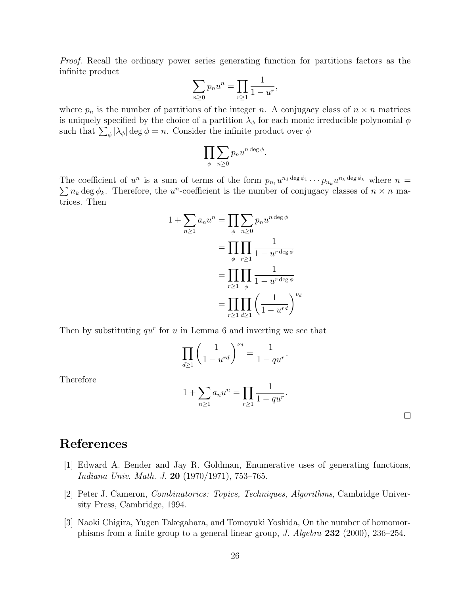<span id="page-25-0"></span>Proof. Recall the ordinary power series generating function for partitions factors as the infinite product

$$
\sum_{n\geq 0} p_n u^n = \prod_{r\geq 1} \frac{1}{1 - u^r},
$$

where  $p_n$  is the number of partitions of the integer n. A conjugacy class of  $n \times n$  matrices is uniquely specified by the choice of a partition  $\lambda_{\phi}$  for each monic irreducible polynomial  $\phi$ such that  $\sum_{\phi} |\lambda_{\phi}| \deg \phi = n$ . Consider the infinite product over  $\phi$ 

$$
\prod_{\phi} \sum_{n\geq 0} p_n u^{n \deg \phi}.
$$

The coefficient of  $u^n$  is a sum of terms of the form  $p_{n_1}u^{n_1\deg\phi_1}\cdots p_{n_k}u^{n_k\deg\phi_k}$  where  $n=$  $\sum n_k \deg \phi_k$ . Therefore, the u<sup>n</sup>-coefficient is the number of conjugacy classes of  $n \times n$  matrices. Then

$$
1 + \sum_{n\geq 1} a_n u^n = \prod_{\phi} \sum_{n\geq 0} p_n u^{n \deg \phi}
$$

$$
= \prod_{\phi} \prod_{r\geq 1} \frac{1}{1 - u^{r \deg \phi}}
$$

$$
= \prod_{r\geq 1} \prod_{\phi} \frac{1}{1 - u^{r \deg \phi}}
$$

$$
= \prod_{r\geq 1} \prod_{d\geq 1} \left(\frac{1}{1 - u^{rd}}\right)^{\nu_d}
$$

Then by substituting  $qu^r$  for u in Lemma 6 and inverting we see that

$$
\prod_{d\geq 1} \left(\frac{1}{1-u^{rd}}\right)^{\nu_d} = \frac{1}{1-qu^r}.
$$

Therefore

$$
1 + \sum_{n \ge 1} a_n u^n = \prod_{r \ge 1} \frac{1}{1 - q u^r}
$$

.

 $\Box$ 

# References

- [1] Edward A. Bender and Jay R. Goldman, Enumerative uses of generating functions, Indiana Univ. Math. J. 20 (1970/1971), 753–765.
- [2] Peter J. Cameron, Combinatorics: Topics, Techniques, Algorithms, Cambridge University Press, Cambridge, 1994.
- [3] Naoki Chigira, Yugen Takegahara, and Tomoyuki Yoshida, On the number of homomorphisms from a finite group to a general linear group, J. Algebra 232 (2000), 236–254.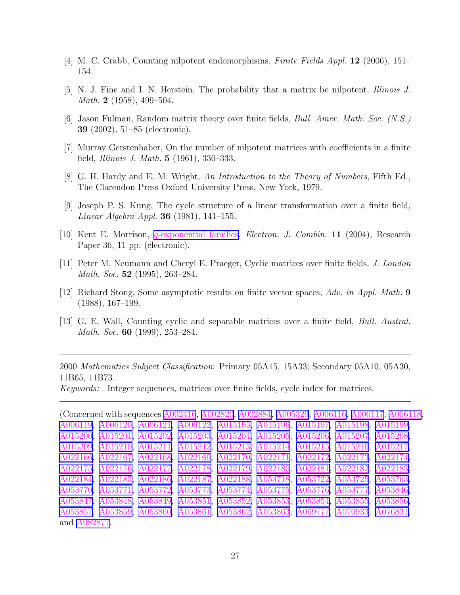- <span id="page-26-0"></span>[4] M. C. Crabb, Counting nilpotent endomorphisms, Finite Fields Appl. 12 (2006), 151– 154.
- [5] N. J. Fine and I. N. Herstein, The probability that a matrix be nilpotent, Illinois J. *Math.* **2** (1958), 499–504.
- [6] Jason Fulman, Random matrix theory over finite fields, Bull. Amer. Math. Soc. (N.S.) 39 (2002), 51–85 (electronic).
- [7] Murray Gerstenhaber, On the number of nilpotent matrices with coefficients in a finite field, Illinois J. Math. 5 (1961), 330–333.
- [8] G. H. Hardy and E. M. Wright, An Introduction to the Theory of Numbers, Fifth Ed., The Clarendon Press Oxford University Press, New York, 1979.
- [9] Joseph P. S. Kung, The cycle structure of a linear transformation over a finite field, Linear Algebra Appl. 36 (1981), 141–155.
- [10] Kent E. Morrison, q[-exponential](http://www.combinatorics.org/Volume_11/Abstracts/v11i1r36.html) families, Electron. J. Combin. 11 (2004), Research Paper 36, 11 pp. (electronic).
- [11] Peter M. Neumann and Cheryl E. Praeger, Cyclic matrices over finite fields, J. London Math. Soc. **52** (1995), 263–284.
- [12] Richard Stong, Some asymptotic results on finite vector spaces, Adv. in Appl. Math. 9 (1988), 167–199.
- [13] G. E. Wall, Counting cyclic and separable matrices over a finite field, Bull. Austral. Math. Soc. **60** (1999), 253–284.

2000 Mathematics Subject Classification: Primary 05A15, 15A33; Secondary 05A10, 05A30, 11B65, 11B73.

Keywords: Integer sequences, matrices over finite fields, cycle index for matrices.

(Concerned with sequences [A002416](http://www.research.att.com/cgi-bin/access.cgi/as/~njas/sequences/eisA.cgi?Anum=A002416), [A002820](http://www.research.att.com/cgi-bin/access.cgi/as/~njas/sequences/eisA.cgi?Anum=A002820), [A002884](http://www.research.att.com/cgi-bin/access.cgi/as/~njas/sequences/eisA.cgi?Anum=A002884), [A005329](http://www.research.att.com/cgi-bin/access.cgi/as/~njas/sequences/eisA.cgi?Anum=A005329), [A006116](http://www.research.att.com/cgi-bin/access.cgi/as/~njas/sequences/eisA.cgi?Anum=A006116), [A006117](http://www.research.att.com/cgi-bin/access.cgi/as/~njas/sequences/eisA.cgi?Anum=A006117), [A006118](http://www.research.att.com/cgi-bin/access.cgi/as/~njas/sequences/eisA.cgi?Anum=A006118), [A006119](http://www.research.att.com/cgi-bin/access.cgi/as/~njas/sequences/eisA.cgi?Anum=A006119), [A006120,](http://www.research.att.com/cgi-bin/access.cgi/as/~njas/sequences/eisA.cgi?Anum=A006120) [A006121](http://www.research.att.com/cgi-bin/access.cgi/as/~njas/sequences/eisA.cgi?Anum=A006121), [A006122,](http://www.research.att.com/cgi-bin/access.cgi/as/~njas/sequences/eisA.cgi?Anum=A006122) [A015195,](http://www.research.att.com/cgi-bin/access.cgi/as/~njas/sequences/eisA.cgi?Anum=A015195) [A015196,](http://www.research.att.com/cgi-bin/access.cgi/as/~njas/sequences/eisA.cgi?Anum=A015196) [A015197,](http://www.research.att.com/cgi-bin/access.cgi/as/~njas/sequences/eisA.cgi?Anum=A015197) [A015198,](http://www.research.att.com/cgi-bin/access.cgi/as/~njas/sequences/eisA.cgi?Anum=A015198) [A015199,](http://www.research.att.com/cgi-bin/access.cgi/as/~njas/sequences/eisA.cgi?Anum=A015199) [A015200](http://www.research.att.com/cgi-bin/access.cgi/as/~njas/sequences/eisA.cgi?Anum=A015200), [A015201,](http://www.research.att.com/cgi-bin/access.cgi/as/~njas/sequences/eisA.cgi?Anum=A015201) [A015202](http://www.research.att.com/cgi-bin/access.cgi/as/~njas/sequences/eisA.cgi?Anum=A015202), [A015203,](http://www.research.att.com/cgi-bin/access.cgi/as/~njas/sequences/eisA.cgi?Anum=A015203) [A015204,](http://www.research.att.com/cgi-bin/access.cgi/as/~njas/sequences/eisA.cgi?Anum=A015204) [A015205,](http://www.research.att.com/cgi-bin/access.cgi/as/~njas/sequences/eisA.cgi?Anum=A015205) [A015206,](http://www.research.att.com/cgi-bin/access.cgi/as/~njas/sequences/eisA.cgi?Anum=A015206) [A015207,](http://www.research.att.com/cgi-bin/access.cgi/as/~njas/sequences/eisA.cgi?Anum=A015207) [A015208,](http://www.research.att.com/cgi-bin/access.cgi/as/~njas/sequences/eisA.cgi?Anum=A015208) [A015209](http://www.research.att.com/cgi-bin/access.cgi/as/~njas/sequences/eisA.cgi?Anum=A015209), [A015210,](http://www.research.att.com/cgi-bin/access.cgi/as/~njas/sequences/eisA.cgi?Anum=A015210) [A015211](http://www.research.att.com/cgi-bin/access.cgi/as/~njas/sequences/eisA.cgi?Anum=A015211), [A015212,](http://www.research.att.com/cgi-bin/access.cgi/as/~njas/sequences/eisA.cgi?Anum=A015212) [A015213,](http://www.research.att.com/cgi-bin/access.cgi/as/~njas/sequences/eisA.cgi?Anum=A015213) [A015214,](http://www.research.att.com/cgi-bin/access.cgi/as/~njas/sequences/eisA.cgi?Anum=A015214) [A015215,](http://www.research.att.com/cgi-bin/access.cgi/as/~njas/sequences/eisA.cgi?Anum=A015215) [A015216,](http://www.research.att.com/cgi-bin/access.cgi/as/~njas/sequences/eisA.cgi?Anum=A015216) [A015217,](http://www.research.att.com/cgi-bin/access.cgi/as/~njas/sequences/eisA.cgi?Anum=A015217) [A022166](http://www.research.att.com/cgi-bin/access.cgi/as/~njas/sequences/eisA.cgi?Anum=A022166), [A022167,](http://www.research.att.com/cgi-bin/access.cgi/as/~njas/sequences/eisA.cgi?Anum=A022167) [A022168](http://www.research.att.com/cgi-bin/access.cgi/as/~njas/sequences/eisA.cgi?Anum=A022168), [A022169,](http://www.research.att.com/cgi-bin/access.cgi/as/~njas/sequences/eisA.cgi?Anum=A022169) [A022170,](http://www.research.att.com/cgi-bin/access.cgi/as/~njas/sequences/eisA.cgi?Anum=A022170) [A022171,](http://www.research.att.com/cgi-bin/access.cgi/as/~njas/sequences/eisA.cgi?Anum=A022171) [A022172,](http://www.research.att.com/cgi-bin/access.cgi/as/~njas/sequences/eisA.cgi?Anum=A022172) [A022173,](http://www.research.att.com/cgi-bin/access.cgi/as/~njas/sequences/eisA.cgi?Anum=A022173) [A022174,](http://www.research.att.com/cgi-bin/access.cgi/as/~njas/sequences/eisA.cgi?Anum=A022174) [A022175](http://www.research.att.com/cgi-bin/access.cgi/as/~njas/sequences/eisA.cgi?Anum=A022175), [A022176,](http://www.research.att.com/cgi-bin/access.cgi/as/~njas/sequences/eisA.cgi?Anum=A022176) [A022177](http://www.research.att.com/cgi-bin/access.cgi/as/~njas/sequences/eisA.cgi?Anum=A022177), [A022178,](http://www.research.att.com/cgi-bin/access.cgi/as/~njas/sequences/eisA.cgi?Anum=A022178) [A022179,](http://www.research.att.com/cgi-bin/access.cgi/as/~njas/sequences/eisA.cgi?Anum=A022179) [A022180,](http://www.research.att.com/cgi-bin/access.cgi/as/~njas/sequences/eisA.cgi?Anum=A022180) [A022181,](http://www.research.att.com/cgi-bin/access.cgi/as/~njas/sequences/eisA.cgi?Anum=A022181) [A022182,](http://www.research.att.com/cgi-bin/access.cgi/as/~njas/sequences/eisA.cgi?Anum=A022182) [A022183,](http://www.research.att.com/cgi-bin/access.cgi/as/~njas/sequences/eisA.cgi?Anum=A022183) [A022184](http://www.research.att.com/cgi-bin/access.cgi/as/~njas/sequences/eisA.cgi?Anum=A022184), [A022185,](http://www.research.att.com/cgi-bin/access.cgi/as/~njas/sequences/eisA.cgi?Anum=A022185) [A022186](http://www.research.att.com/cgi-bin/access.cgi/as/~njas/sequences/eisA.cgi?Anum=A022186), [A022187,](http://www.research.att.com/cgi-bin/access.cgi/as/~njas/sequences/eisA.cgi?Anum=A022187) [A022188,](http://www.research.att.com/cgi-bin/access.cgi/as/~njas/sequences/eisA.cgi?Anum=A022188) [A053718,](http://www.research.att.com/cgi-bin/access.cgi/as/~njas/sequences/eisA.cgi?Anum=A053718) [A053722,](http://www.research.att.com/cgi-bin/access.cgi/as/~njas/sequences/eisA.cgi?Anum=A053722) [A053725,](http://www.research.att.com/cgi-bin/access.cgi/as/~njas/sequences/eisA.cgi?Anum=A053725) [A053763,](http://www.research.att.com/cgi-bin/access.cgi/as/~njas/sequences/eisA.cgi?Anum=A053763) [A053770](http://www.research.att.com/cgi-bin/access.cgi/as/~njas/sequences/eisA.cgi?Anum=A053770), [A053771,](http://www.research.att.com/cgi-bin/access.cgi/as/~njas/sequences/eisA.cgi?Anum=A053771) [A053772](http://www.research.att.com/cgi-bin/access.cgi/as/~njas/sequences/eisA.cgi?Anum=A053772), [A053773,](http://www.research.att.com/cgi-bin/access.cgi/as/~njas/sequences/eisA.cgi?Anum=A053773) [A053774,](http://www.research.att.com/cgi-bin/access.cgi/as/~njas/sequences/eisA.cgi?Anum=A053774) [A053775,](http://www.research.att.com/cgi-bin/access.cgi/as/~njas/sequences/eisA.cgi?Anum=A053775) [A053776,](http://www.research.att.com/cgi-bin/access.cgi/as/~njas/sequences/eisA.cgi?Anum=A053776) [A053777,](http://www.research.att.com/cgi-bin/access.cgi/as/~njas/sequences/eisA.cgi?Anum=A053777) [A053846,](http://www.research.att.com/cgi-bin/access.cgi/as/~njas/sequences/eisA.cgi?Anum=A053846) [A053847](http://www.research.att.com/cgi-bin/access.cgi/as/~njas/sequences/eisA.cgi?Anum=A053847), [A053848,](http://www.research.att.com/cgi-bin/access.cgi/as/~njas/sequences/eisA.cgi?Anum=A053848) [A053849](http://www.research.att.com/cgi-bin/access.cgi/as/~njas/sequences/eisA.cgi?Anum=A053849), [A053851,](http://www.research.att.com/cgi-bin/access.cgi/as/~njas/sequences/eisA.cgi?Anum=A053851) [A053852,](http://www.research.att.com/cgi-bin/access.cgi/as/~njas/sequences/eisA.cgi?Anum=A053852) [A053853,](http://www.research.att.com/cgi-bin/access.cgi/as/~njas/sequences/eisA.cgi?Anum=A053853) [A053854,](http://www.research.att.com/cgi-bin/access.cgi/as/~njas/sequences/eisA.cgi?Anum=A053854) [A053855,](http://www.research.att.com/cgi-bin/access.cgi/as/~njas/sequences/eisA.cgi?Anum=A053855) [A053856,](http://www.research.att.com/cgi-bin/access.cgi/as/~njas/sequences/eisA.cgi?Anum=A053856) [A053857](http://www.research.att.com/cgi-bin/access.cgi/as/~njas/sequences/eisA.cgi?Anum=A053857), [A053859,](http://www.research.att.com/cgi-bin/access.cgi/as/~njas/sequences/eisA.cgi?Anum=A053859) [A053860](http://www.research.att.com/cgi-bin/access.cgi/as/~njas/sequences/eisA.cgi?Anum=A053860), [A053861,](http://www.research.att.com/cgi-bin/access.cgi/as/~njas/sequences/eisA.cgi?Anum=A053861) [A053862,](http://www.research.att.com/cgi-bin/access.cgi/as/~njas/sequences/eisA.cgi?Anum=A053862) [A053863,](http://www.research.att.com/cgi-bin/access.cgi/as/~njas/sequences/eisA.cgi?Anum=A053863) [A069777,](http://www.research.att.com/cgi-bin/access.cgi/as/~njas/sequences/eisA.cgi?Anum=A069777) [A070933,](http://www.research.att.com/cgi-bin/access.cgi/as/~njas/sequences/eisA.cgi?Anum=A070933) [A076831,](http://www.research.att.com/cgi-bin/access.cgi/as/~njas/sequences/eisA.cgi?Anum=A076831) and [A082877.](http://www.research.att.com/cgi-bin/access.cgi/as/~njas/sequences/eisA.cgi?Anum=A082877)